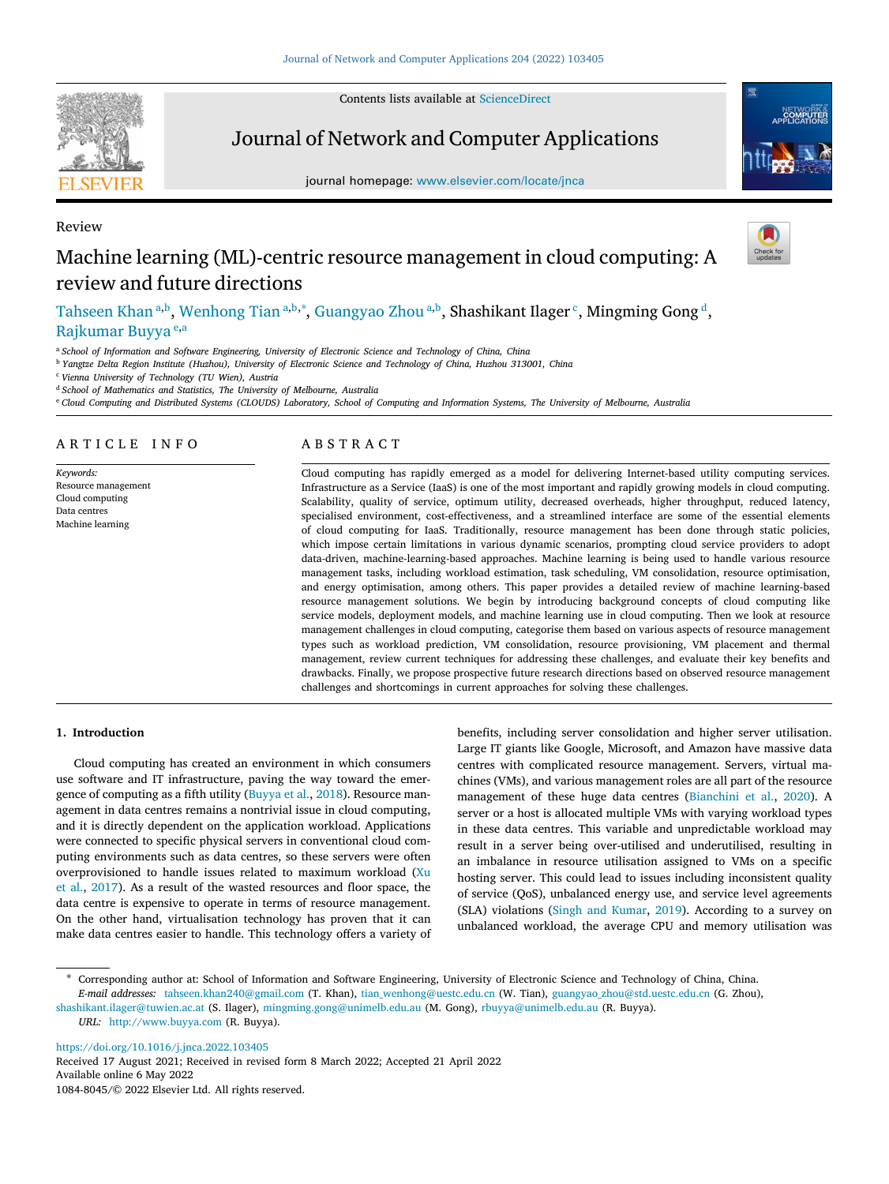Contents lists available at [ScienceDirect](http://www.elsevier.com/locate/jnca)



Review

# Journal of Network and Computer Applications

journal homepage: [www.elsevier.com/locate/jnca](http://www.elsevier.com/locate/jnca)



# Machine learning (ML)-centric resource management in cloud computing: A review and future directions

[Tahseen](#page-16-0) [Khan](#page-16-0) <sup>[a](#page-0-0),[b](#page-0-1)</sup>, [Wenhong](#page-16-1) [Tian](#page-16-1) <sup>a,b,[∗](#page-0-2)</sup>, [Guangyao](#page-16-2) [Zhou](#page-16-2) <sup>a,b</sup>, <mark>Shashikant Ilager <sup>[c](#page-0-3)</sup>, Mingming Gong <sup>[d](#page-0-4)</sup>,</mark> [Rajkumar](#page-16-3) [Buyya](#page-16-3) [e](#page-0-5),[a](#page-0-0)

<span id="page-0-0"></span><sup>a</sup> *School of Information and Software Engineering, University of Electronic Science and Technology of China, China*

<span id="page-0-1"></span><sup>b</sup> *Yangtze Delta Region Institute (Huzhou), University of Electronic Science and Technology of China, Huzhou 313001, China*

<span id="page-0-3"></span><sup>c</sup> *Vienna University of Technology (TU Wien), Austria*

<span id="page-0-4"></span><sup>d</sup> *School of Mathematics and Statistics, The University of Melbourne, Australia*

<span id="page-0-5"></span><sup>e</sup> *Cloud Computing and Distributed Systems (CLOUDS) Laboratory, School of Computing and Information Systems, The University of Melbourne, Australia*

# ARTICLE INFO

*Keywords:* Resource management Cloud computing Data centres Machine learning

# A B S T R A C T

Cloud computing has rapidly emerged as a model for delivering Internet-based utility computing services. Infrastructure as a Service (IaaS) is one of the most important and rapidly growing models in cloud computing. Scalability, quality of service, optimum utility, decreased overheads, higher throughput, reduced latency, specialised environment, cost-effectiveness, and a streamlined interface are some of the essential elements of cloud computing for IaaS. Traditionally, resource management has been done through static policies, which impose certain limitations in various dynamic scenarios, prompting cloud service providers to adopt data-driven, machine-learning-based approaches. Machine learning is being used to handle various resource management tasks, including workload estimation, task scheduling, VM consolidation, resource optimisation, and energy optimisation, among others. This paper provides a detailed review of machine learning-based resource management solutions. We begin by introducing background concepts of cloud computing like service models, deployment models, and machine learning use in cloud computing. Then we look at resource management challenges in cloud computing, categorise them based on various aspects of resource management types such as workload prediction, VM consolidation, resource provisioning, VM placement and thermal management, review current techniques for addressing these challenges, and evaluate their key benefits and drawbacks. Finally, we propose prospective future research directions based on observed resource management challenges and shortcomings in current approaches for solving these challenges.

### **1. Introduction**

Cloud computing has created an environment in which consumers use software and IT infrastructure, paving the way toward the emergence of computing as a fifth utility ([Buyya et al.,](#page-14-0) [2018\)](#page-14-0). Resource management in data centres remains a nontrivial issue in cloud computing, and it is directly dependent on the application workload. Applications were connected to specific physical servers in conventional cloud computing environments such as data centres, so these servers were often overprovisioned to handle issues related to maximum workload ([Xu](#page-16-4) [et al.,](#page-16-4) [2017](#page-16-4)). As a result of the wasted resources and floor space, the data centre is expensive to operate in terms of resource management. On the other hand, virtualisation technology has proven that it can make data centres easier to handle. This technology offers a variety of benefits, including server consolidation and higher server utilisation. Large IT giants like Google, Microsoft, and Amazon have massive data centres with complicated resource management. Servers, virtual machines (VMs), and various management roles are all part of the resource management of these huge data centres ([Bianchini et al.,](#page-14-1) [2020](#page-14-1)). A server or a host is allocated multiple VMs with varying workload types in these data centres. This variable and unpredictable workload may result in a server being over-utilised and underutilised, resulting in an imbalance in resource utilisation assigned to VMs on a specific hosting server. This could lead to issues including inconsistent quality of service (QoS), unbalanced energy use, and service level agreements (SLA) violations [\(Singh and Kumar,](#page-16-5) [2019](#page-16-5)). According to a survey on unbalanced workload, the average CPU and memory utilisation was

[shashikant.ilager@tuwien.ac.at](mailto:shashikant.ilager@tuwien.ac.at) (S. Ilager), [mingming.gong@unimelb.edu.au](mailto:mingming.gong@unimelb.edu.au) (M. Gong), [rbuyya@unimelb.edu.au](mailto:rbuyya@unimelb.edu.au) (R. Buyya).

*URL:* <http://www.buyya.com> (R. Buyya).

<https://doi.org/10.1016/j.jnca.2022.103405>

Available online 6 May 2022 1084-8045/© 2022 Elsevier Ltd. All rights reserved. Received 17 August 2021; Received in revised form 8 March 2022; Accepted 21 April 2022

<span id="page-0-2"></span>Corresponding author at: School of Information and Software Engineering, University of Electronic Science and Technology of China, China. *E-mail addresses:* [tahseen.khan240@gmail.com](mailto:tahseen.khan240@gmail.com) (T. Khan), [tian\\_wenhong@uestc.edu.cn](mailto:tian_wenhong@uestc.edu.cn) (W. Tian), [guangyao\\_zhou@std.uestc.edu.cn](mailto:guangyao_zhou@std.uestc.edu.cn) (G. Zhou),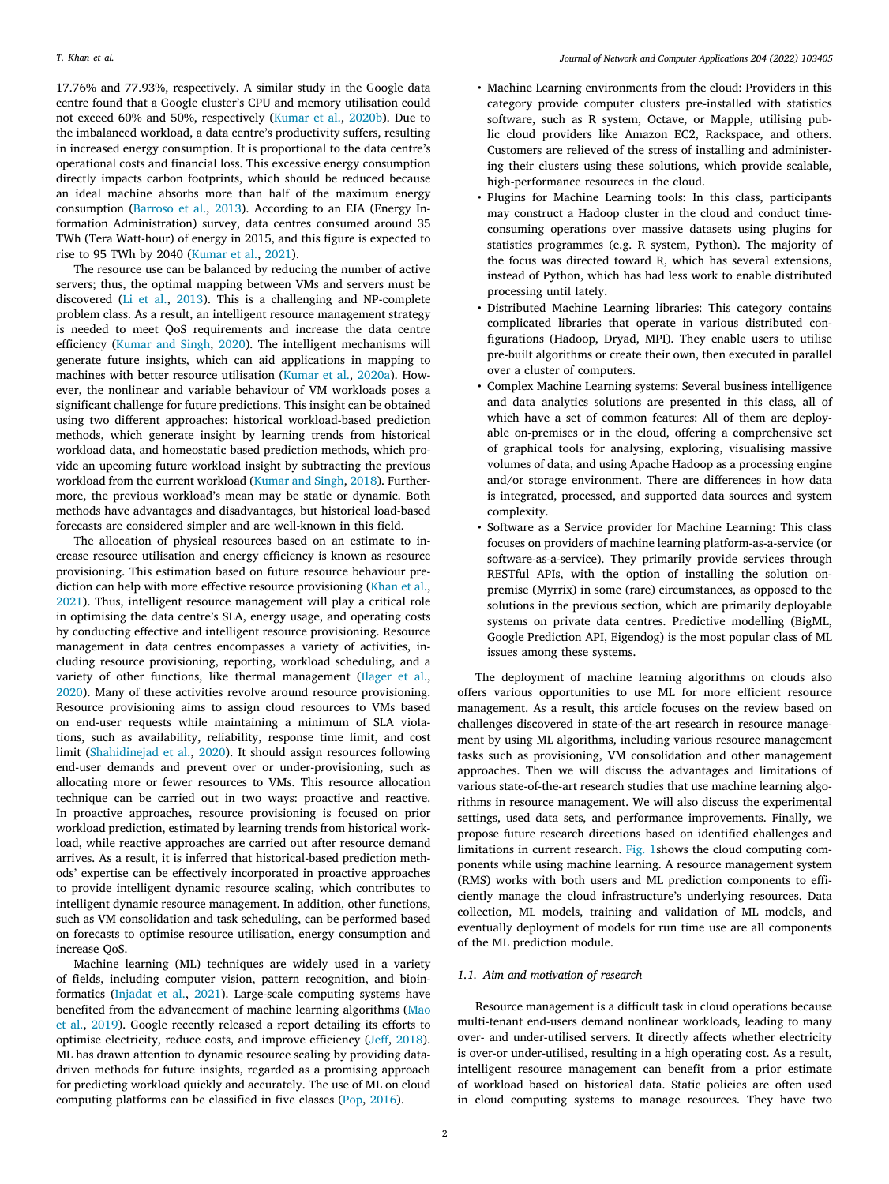17.76% and 77.93%, respectively. A similar study in the Google data centre found that a Google cluster's CPU and memory utilisation could not exceed 60% and 50%, respectively ([Kumar et al.,](#page-15-0) [2020b](#page-15-0)). Due to the imbalanced workload, a data centre's productivity suffers, resulting in increased energy consumption. It is proportional to the data centre's operational costs and financial loss. This excessive energy consumption directly impacts carbon footprints, which should be reduced because an ideal machine absorbs more than half of the maximum energy consumption [\(Barroso et al.](#page-14-2), [2013\)](#page-14-2). According to an EIA (Energy Information Administration) survey, data centres consumed around 35 TWh (Tera Watt-hour) of energy in 2015, and this figure is expected to rise to 95 TWh by 2040 ([Kumar et al.,](#page-15-1) [2021\)](#page-15-1).

The resource use can be balanced by reducing the number of active servers; thus, the optimal mapping between VMs and servers must be discovered [\(Li et al.](#page-15-2), [2013](#page-15-2)). This is a challenging and NP-complete problem class. As a result, an intelligent resource management strategy is needed to meet QoS requirements and increase the data centre efficiency ([Kumar and Singh,](#page-15-3) [2020](#page-15-3)). The intelligent mechanisms will generate future insights, which can aid applications in mapping to machines with better resource utilisation ([Kumar et al.,](#page-15-4) [2020a\)](#page-15-4). However, the nonlinear and variable behaviour of VM workloads poses a significant challenge for future predictions. This insight can be obtained using two different approaches: historical workload-based prediction methods, which generate insight by learning trends from historical workload data, and homeostatic based prediction methods, which provide an upcoming future workload insight by subtracting the previous workload from the current workload [\(Kumar and Singh,](#page-15-5) [2018\)](#page-15-5). Furthermore, the previous workload's mean may be static or dynamic. Both methods have advantages and disadvantages, but historical load-based forecasts are considered simpler and are well-known in this field.

The allocation of physical resources based on an estimate to increase resource utilisation and energy efficiency is known as resource provisioning. This estimation based on future resource behaviour pre-diction can help with more effective resource provisioning [\(Khan et al.](#page-15-6), [2021\)](#page-15-6). Thus, intelligent resource management will play a critical role in optimising the data centre's SLA, energy usage, and operating costs by conducting effective and intelligent resource provisioning. Resource management in data centres encompasses a variety of activities, including resource provisioning, reporting, workload scheduling, and a variety of other functions, like thermal management ([Ilager et al.](#page-15-7), [2020\)](#page-15-7). Many of these activities revolve around resource provisioning. Resource provisioning aims to assign cloud resources to VMs based on end-user requests while maintaining a minimum of SLA violations, such as availability, reliability, response time limit, and cost limit [\(Shahidinejad et al.,](#page-16-6) [2020](#page-16-6)). It should assign resources following end-user demands and prevent over or under-provisioning, such as allocating more or fewer resources to VMs. This resource allocation technique can be carried out in two ways: proactive and reactive. In proactive approaches, resource provisioning is focused on prior workload prediction, estimated by learning trends from historical workload, while reactive approaches are carried out after resource demand arrives. As a result, it is inferred that historical-based prediction methods' expertise can be effectively incorporated in proactive approaches to provide intelligent dynamic resource scaling, which contributes to intelligent dynamic resource management. In addition, other functions, such as VM consolidation and task scheduling, can be performed based on forecasts to optimise resource utilisation, energy consumption and increase QoS.

Machine learning (ML) techniques are widely used in a variety of fields, including computer vision, pattern recognition, and bioinformatics [\(Injadat et al.](#page-15-8), [2021](#page-15-8)). Large-scale computing systems have benefited from the advancement of machine learning algorithms [\(Mao](#page-15-9) [et al.,](#page-15-9) [2019](#page-15-9)). Google recently released a report detailing its efforts to optimise electricity, reduce costs, and improve efficiency [\(Jeff](#page-15-10), [2018](#page-15-10)). ML has drawn attention to dynamic resource scaling by providing datadriven methods for future insights, regarded as a promising approach for predicting workload quickly and accurately. The use of ML on cloud computing platforms can be classified in five classes ([Pop,](#page-15-11) [2016\)](#page-15-11).

- Machine Learning environments from the cloud: Providers in this category provide computer clusters pre-installed with statistics software, such as R system, Octave, or Mapple, utilising public cloud providers like Amazon EC2, Rackspace, and others. Customers are relieved of the stress of installing and administering their clusters using these solutions, which provide scalable, high-performance resources in the cloud.
- Plugins for Machine Learning tools: In this class, participants may construct a Hadoop cluster in the cloud and conduct timeconsuming operations over massive datasets using plugins for statistics programmes (e.g. R system, Python). The majority of the focus was directed toward R, which has several extensions, instead of Python, which has had less work to enable distributed processing until lately.
- Distributed Machine Learning libraries: This category contains complicated libraries that operate in various distributed configurations (Hadoop, Dryad, MPI). They enable users to utilise pre-built algorithms or create their own, then executed in parallel over a cluster of computers.
- Complex Machine Learning systems: Several business intelligence and data analytics solutions are presented in this class, all of which have a set of common features: All of them are deployable on-premises or in the cloud, offering a comprehensive set of graphical tools for analysing, exploring, visualising massive volumes of data, and using Apache Hadoop as a processing engine and/or storage environment. There are differences in how data is integrated, processed, and supported data sources and system complexity.
- Software as a Service provider for Machine Learning: This class focuses on providers of machine learning platform-as-a-service (or software-as-a-service). They primarily provide services through RESTful APIs, with the option of installing the solution onpremise (Myrrix) in some (rare) circumstances, as opposed to the solutions in the previous section, which are primarily deployable systems on private data centres. Predictive modelling (BigML, Google Prediction API, Eigendog) is the most popular class of ML issues among these systems.

The deployment of machine learning algorithms on clouds also offers various opportunities to use ML for more efficient resource management. As a result, this article focuses on the review based on challenges discovered in state-of-the-art research in resource management by using ML algorithms, including various resource management tasks such as provisioning, VM consolidation and other management approaches. Then we will discuss the advantages and limitations of various state-of-the-art research studies that use machine learning algorithms in resource management. We will also discuss the experimental settings, used data sets, and performance improvements. Finally, we propose future research directions based on identified challenges and limitations in current research. [Fig.](#page-2-0) [1s](#page-2-0)hows the cloud computing components while using machine learning. A resource management system (RMS) works with both users and ML prediction components to efficiently manage the cloud infrastructure's underlying resources. Data collection, ML models, training and validation of ML models, and eventually deployment of models for run time use are all components of the ML prediction module.

### *1.1. Aim and motivation of research*

Resource management is a difficult task in cloud operations because multi-tenant end-users demand nonlinear workloads, leading to many over- and under-utilised servers. It directly affects whether electricity is over-or under-utilised, resulting in a high operating cost. As a result, intelligent resource management can benefit from a prior estimate of workload based on historical data. Static policies are often used in cloud computing systems to manage resources. They have two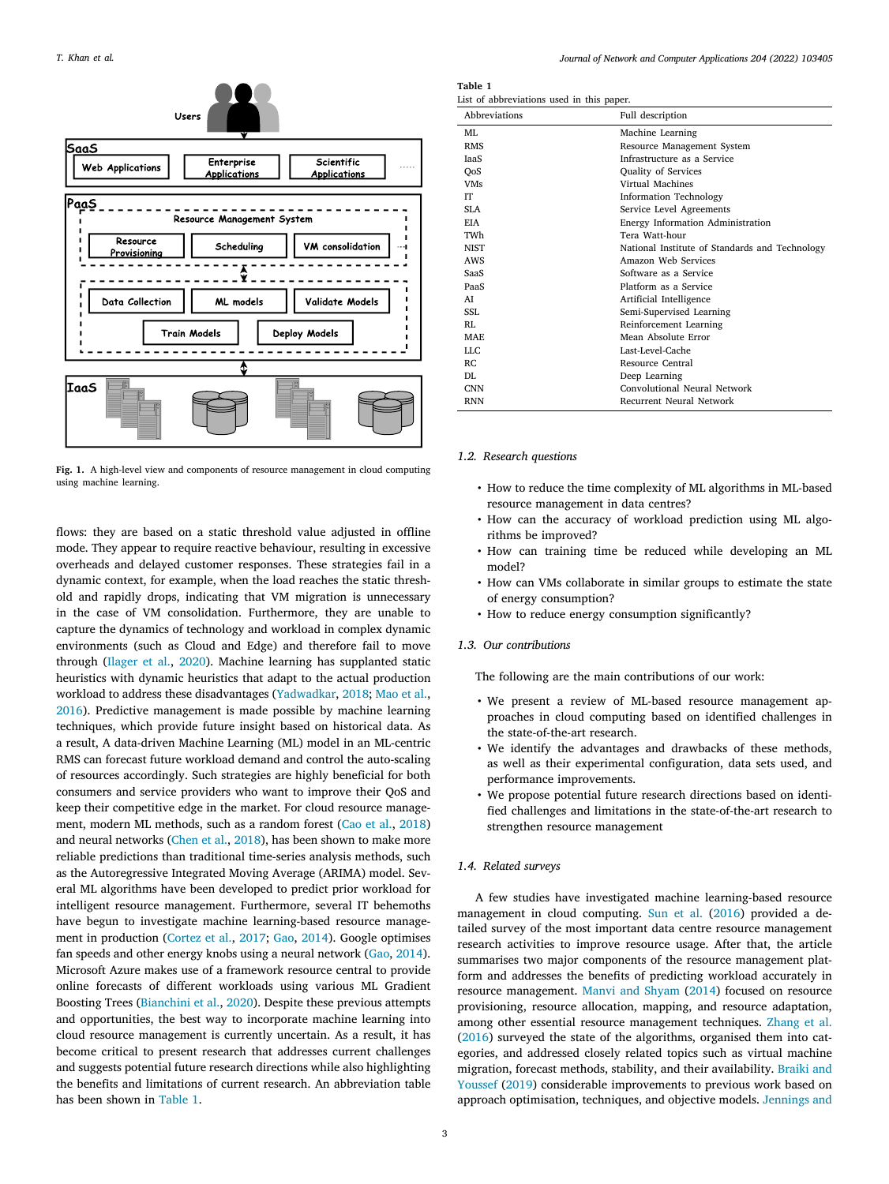

<span id="page-2-0"></span>**Fig. 1.** A high-level view and components of resource management in cloud computing using machine learning.

flows: they are based on a static threshold value adjusted in offline mode. They appear to require reactive behaviour, resulting in excessive overheads and delayed customer responses. These strategies fail in a dynamic context, for example, when the load reaches the static threshold and rapidly drops, indicating that VM migration is unnecessary in the case of VM consolidation. Furthermore, they are unable to capture the dynamics of technology and workload in complex dynamic environments (such as Cloud and Edge) and therefore fail to move through ([Ilager et al.](#page-15-7), [2020\)](#page-15-7). Machine learning has supplanted static heuristics with dynamic heuristics that adapt to the actual production workload to address these disadvantages [\(Yadwadkar,](#page-16-7) [2018](#page-16-7); [Mao et al.](#page-15-12), [2016\)](#page-15-12). Predictive management is made possible by machine learning techniques, which provide future insight based on historical data. As a result, A data-driven Machine Learning (ML) model in an ML-centric RMS can forecast future workload demand and control the auto-scaling of resources accordingly. Such strategies are highly beneficial for both consumers and service providers who want to improve their QoS and keep their competitive edge in the market. For cloud resource management, modern ML methods, such as a random forest ([Cao et al.,](#page-14-3) [2018\)](#page-14-3) and neural networks ([Chen et al.,](#page-14-4) [2018\)](#page-14-4), has been shown to make more reliable predictions than traditional time-series analysis methods, such as the Autoregressive Integrated Moving Average (ARIMA) model. Several ML algorithms have been developed to predict prior workload for intelligent resource management. Furthermore, several IT behemoths have begun to investigate machine learning-based resource management in production [\(Cortez et al.](#page-14-5), [2017](#page-14-5); [Gao](#page-15-13), [2014\)](#page-15-13). Google optimises fan speeds and other energy knobs using a neural network ([Gao,](#page-15-13) [2014](#page-15-13)). Microsoft Azure makes use of a framework resource central to provide online forecasts of different workloads using various ML Gradient Boosting Trees [\(Bianchini et al.](#page-14-1), [2020\)](#page-14-1). Despite these previous attempts and opportunities, the best way to incorporate machine learning into cloud resource management is currently uncertain. As a result, it has become critical to present research that addresses current challenges and suggests potential future research directions while also highlighting the benefits and limitations of current research. An abbreviation table has been shown in [Table](#page-2-1) [1](#page-2-1).

**Table 1**

<span id="page-2-1"></span>

| Abbreviations | Full description                               |
|---------------|------------------------------------------------|
| MI.           | Machine Learning                               |
| <b>RMS</b>    | Resource Management System                     |
| <b>JaaS</b>   | Infrastructure as a Service                    |
| QoS           | Quality of Services                            |
| <b>VMs</b>    | Virtual Machines                               |
| <b>IT</b>     | <b>Information Technology</b>                  |
| SLA           | Service Level Agreements                       |
| <b>EIA</b>    | Energy Information Administration              |
| TWh           | Tera Watt-hour                                 |
| <b>NIST</b>   | National Institute of Standards and Technology |
| AWS           | Amazon Web Services                            |
| SaaS          | Software as a Service                          |
| PaaS          | Platform as a Service                          |
| AI            | Artificial Intelligence                        |
| SSI.          | Semi-Supervised Learning                       |
| RI.           | Reinforcement Learning                         |
| MAE.          | Mean Absolute Error                            |
| LLC           | Last-Level-Cache                               |
| RC.           | Resource Central                               |
| DI.           | Deep Learning                                  |
| <b>CNN</b>    | Convolutional Neural Network                   |
| <b>RNN</b>    | Recurrent Neural Network                       |

### *1.2. Research questions*

- <span id="page-2-2"></span>• How to reduce the time complexity of ML algorithms in ML-based resource management in data centres?
- How can the accuracy of workload prediction using ML algorithms be improved?
- How can training time be reduced while developing an ML model?
- How can VMs collaborate in similar groups to estimate the state of energy consumption?
- How to reduce energy consumption significantly?

# *1.3. Our contributions*

The following are the main contributions of our work:

- We present a review of ML-based resource management approaches in cloud computing based on identified challenges in the state-of-the-art research.
- We identify the advantages and drawbacks of these methods, as well as their experimental configuration, data sets used, and performance improvements.
- We propose potential future research directions based on identified challenges and limitations in the state-of-the-art research to strengthen resource management

#### *1.4. Related surveys*

A few studies have investigated machine learning-based resource management in cloud computing. [Sun et al.](#page-16-8) ([2016\)](#page-16-8) provided a detailed survey of the most important data centre resource management research activities to improve resource usage. After that, the article summarises two major components of the resource management platform and addresses the benefits of predicting workload accurately in resource management. [Manvi and Shyam](#page-15-14) ([2014\)](#page-15-14) focused on resource provisioning, resource allocation, mapping, and resource adaptation, among other essential resource management techniques. [Zhang et al.](#page-16-9) ([2016\)](#page-16-9) surveyed the state of the algorithms, organised them into categories, and addressed closely related topics such as virtual machine migration, forecast methods, stability, and their availability. [Braiki and](#page-14-6) [Youssef](#page-14-6) ([2019\)](#page-14-6) considerable improvements to previous work based on approach optimisation, techniques, and objective models. [Jennings and](#page-15-15)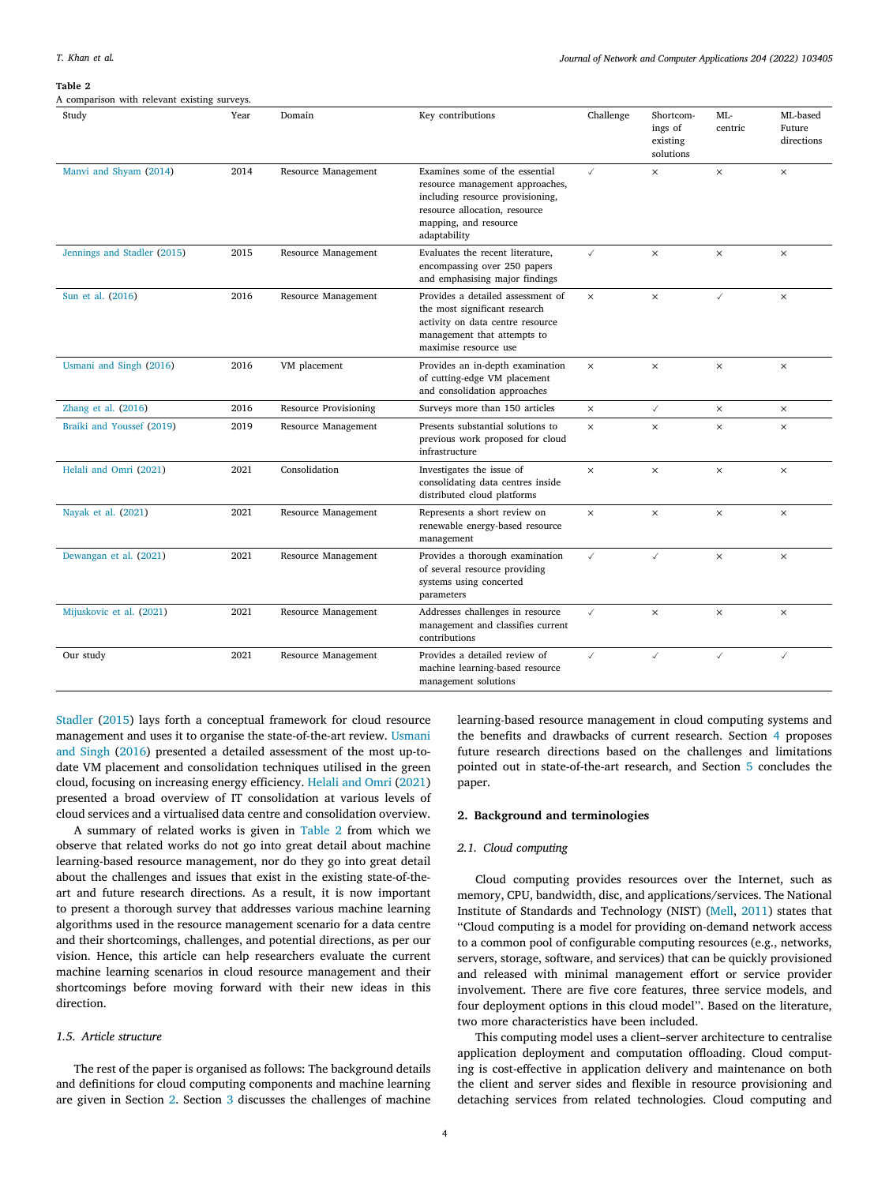[A comparison with relevant existing surveys.](#page-15-15)

#### <span id="page-3-0"></span>**Table 2**

| Study                       | Year | Domain                       | Key contributions                                                                                                                                                               | Challenge    | Shortcom-<br>ings of<br>existing<br>solutions | ML-<br>centric | ML-based<br>Future<br>directions |
|-----------------------------|------|------------------------------|---------------------------------------------------------------------------------------------------------------------------------------------------------------------------------|--------------|-----------------------------------------------|----------------|----------------------------------|
| Manvi and Shyam (2014)      | 2014 | Resource Management          | Examines some of the essential<br>resource management approaches,<br>including resource provisioning,<br>resource allocation, resource<br>mapping, and resource<br>adaptability | $\checkmark$ | $\times$                                      | $\times$       | ×                                |
| Jennings and Stadler (2015) | 2015 | Resource Management          | Evaluates the recent literature,<br>encompassing over 250 papers<br>and emphasising major findings                                                                              | $\checkmark$ | $\times$                                      | $\times$       | $\times$                         |
| Sun et al. (2016)           | 2016 | Resource Management          | Provides a detailed assessment of<br>the most significant research<br>activity on data centre resource<br>management that attempts to<br>maximise resource use                  | $\times$     | $\times$                                      | ✓              | $\times$                         |
| Usmani and Singh (2016)     | 2016 | VM placement                 | Provides an in-depth examination<br>of cutting-edge VM placement<br>and consolidation approaches                                                                                | $\times$     | $\times$                                      | $\times$       | $\times$                         |
| Zhang et al. $(2016)$       | 2016 | <b>Resource Provisioning</b> | Surveys more than 150 articles                                                                                                                                                  | $\times$     | $\checkmark$                                  | $\times$       | $\times$                         |
| Braiki and Youssef (2019)   | 2019 | Resource Management          | Presents substantial solutions to<br>previous work proposed for cloud<br>infrastructure                                                                                         | $\times$     | $\times$                                      | $\times$       | $\times$                         |
| Helali and Omri (2021)      | 2021 | Consolidation                | Investigates the issue of<br>consolidating data centres inside<br>distributed cloud platforms                                                                                   | $\times$     | $\times$                                      | $\times$       | ×                                |
| Nayak et al. (2021)         | 2021 | Resource Management          | Represents a short review on<br>renewable energy-based resource<br>management                                                                                                   | $\times$     | $\times$                                      | $\times$       | $\times$                         |
| Dewangan et al. (2021)      | 2021 | Resource Management          | Provides a thorough examination<br>of several resource providing<br>systems using concerted<br>parameters                                                                       | $\checkmark$ | $\checkmark$                                  | $\times$       | $\times$                         |
| Mijuskovic et al. (2021)    | 2021 | Resource Management          | Addresses challenges in resource<br>management and classifies current<br>contributions                                                                                          | $\checkmark$ | $\times$                                      | $\times$       | $\times$                         |
| Our study                   | 2021 | Resource Management          | Provides a detailed review of<br>machine learning-based resource<br>management solutions                                                                                        | $\checkmark$ | $\checkmark$                                  | $\checkmark$   | $\checkmark$                     |

[Stadler](#page-15-15) ([2015\)](#page-15-15) lays forth a conceptual framework for cloud resource management and uses it to organise the state-of-the-art review. [Usmani](#page-16-10) [and Singh](#page-16-10) [\(2016\)](#page-16-10) presented a detailed assessment of the most up-todate VM placement and consolidation techniques utilised in the green cloud, focusing on increasing energy efficiency. [Helali and Omri](#page-15-16) ([2021\)](#page-15-16) presented a broad overview of IT consolidation at various levels of cloud services and a virtualised data centre and consolidation overview.

A summary of related works is given in [Table](#page-3-0) [2](#page-3-0) from which we observe that related works do not go into great detail about machine learning-based resource management, nor do they go into great detail about the challenges and issues that exist in the existing state-of-theart and future research directions. As a result, it is now important to present a thorough survey that addresses various machine learning algorithms used in the resource management scenario for a data centre and their shortcomings, challenges, and potential directions, as per our vision. Hence, this article can help researchers evaluate the current machine learning scenarios in cloud resource management and their shortcomings before moving forward with their new ideas in this direction.

### *1.5. Article structure*

The rest of the paper is organised as follows: The background details and definitions for cloud computing components and machine learning are given in Section [2.](#page-3-1) Section [3](#page-5-0) discusses the challenges of machine

learning-based resource management in cloud computing systems and the benefits and drawbacks of current research. Section [4](#page-11-0) proposes future research directions based on the challenges and limitations pointed out in state-of-the-art research, and Section [5](#page-14-8) concludes the paper.

# **2. Background and terminologies**

# <span id="page-3-1"></span>*2.1. Cloud computing*

Cloud computing provides resources over the Internet, such as memory, CPU, bandwidth, disc, and applications/services. The National Institute of Standards and Technology (NIST) ([Mell,](#page-15-19) [2011\)](#page-15-19) states that ''Cloud computing is a model for providing on-demand network access to a common pool of configurable computing resources (e.g., networks, servers, storage, software, and services) that can be quickly provisioned and released with minimal management effort or service provider involvement. There are five core features, three service models, and four deployment options in this cloud model''. Based on the literature, two more characteristics have been included.

This computing model uses a client–server architecture to centralise application deployment and computation offloading. Cloud computing is cost-effective in application delivery and maintenance on both the client and server sides and flexible in resource provisioning and detaching services from related technologies. Cloud computing and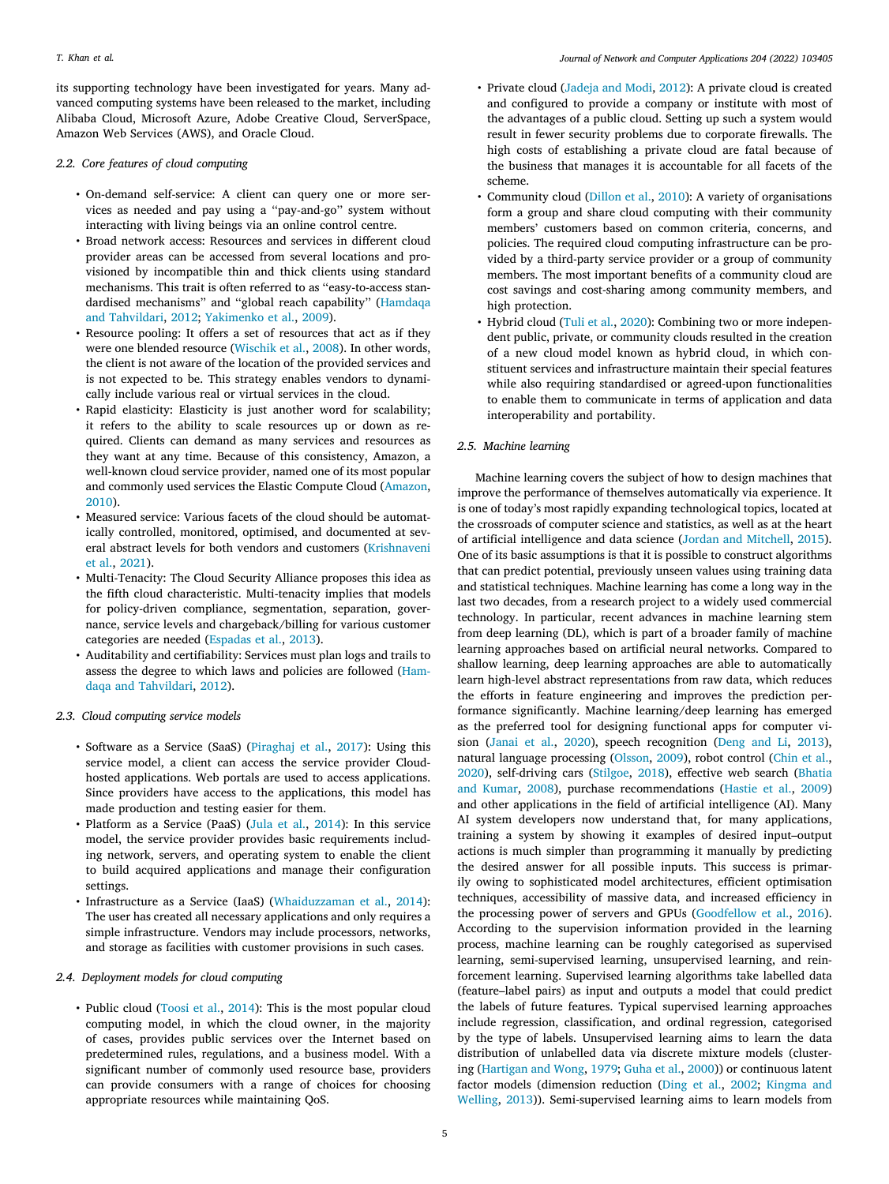its supporting technology have been investigated for years. Many advanced computing systems have been released to the market, including Alibaba Cloud, Microsoft Azure, Adobe Creative Cloud, ServerSpace, Amazon Web Services (AWS), and Oracle Cloud.

# *2.2. Core features of cloud computing*

- On-demand self-service: A client can query one or more services as needed and pay using a ''pay-and-go'' system without interacting with living beings via an online control centre.
- Broad network access: Resources and services in different cloud provider areas can be accessed from several locations and provisioned by incompatible thin and thick clients using standard mechanisms. This trait is often referred to as ''easy-to-access standardised mechanisms'' and ''global reach capability'' ([Hamdaqa](#page-15-20) [and Tahvildari,](#page-15-20) [2012;](#page-15-20) [Yakimenko et al.,](#page-16-11) [2009](#page-16-11)).
- Resource pooling: It offers a set of resources that act as if they were one blended resource [\(Wischik et al.,](#page-16-12) [2008](#page-16-12)). In other words, the client is not aware of the location of the provided services and is not expected to be. This strategy enables vendors to dynamically include various real or virtual services in the cloud.
- Rapid elasticity: Elasticity is just another word for scalability; it refers to the ability to scale resources up or down as required. Clients can demand as many services and resources as they want at any time. Because of this consistency, Amazon, a well-known cloud service provider, named one of its most popular and commonly used services the Elastic Compute Cloud ([Amazon](#page-14-9), [2010](#page-14-9)).
- Measured service: Various facets of the cloud should be automatically controlled, monitored, optimised, and documented at several abstract levels for both vendors and customers ([Krishnaveni](#page-15-21) [et al.](#page-15-21), [2021](#page-15-21)).
- Multi-Tenacity: The Cloud Security Alliance proposes this idea as the fifth cloud characteristic. Multi-tenacity implies that models for policy-driven compliance, segmentation, separation, governance, service levels and chargeback/billing for various customer categories are needed [\(Espadas et al.,](#page-15-22) [2013\)](#page-15-22).
- Auditability and certifiability: Services must plan logs and trails to assess the degree to which laws and policies are followed [\(Ham](#page-15-20)[daqa and Tahvildari](#page-15-20), [2012](#page-15-20)).
- *2.3. Cloud computing service models*
	- Software as a Service (SaaS) [\(Piraghaj et al.,](#page-15-23) [2017\)](#page-15-23): Using this service model, a client can access the service provider Cloudhosted applications. Web portals are used to access applications. Since providers have access to the applications, this model has made production and testing easier for them.
	- Platform as a Service (PaaS) ([Jula et al.,](#page-15-24) [2014\)](#page-15-24): In this service model, the service provider provides basic requirements including network, servers, and operating system to enable the client to build acquired applications and manage their configuration settings.
	- Infrastructure as a Service (IaaS) ([Whaiduzzaman et al.,](#page-16-13) [2014](#page-16-13)): The user has created all necessary applications and only requires a simple infrastructure. Vendors may include processors, networks, and storage as facilities with customer provisions in such cases.

# *2.4. Deployment models for cloud computing*

• Public cloud ([Toosi et al.,](#page-16-14) [2014\)](#page-16-14): This is the most popular cloud computing model, in which the cloud owner, in the majority of cases, provides public services over the Internet based on predetermined rules, regulations, and a business model. With a significant number of commonly used resource base, providers can provide consumers with a range of choices for choosing appropriate resources while maintaining QoS.

- Private cloud ([Jadeja and Modi](#page-15-25), [2012\)](#page-15-25): A private cloud is created and configured to provide a company or institute with most of the advantages of a public cloud. Setting up such a system would result in fewer security problems due to corporate firewalls. The high costs of establishing a private cloud are fatal because of the business that manages it is accountable for all facets of the scheme.
- Community cloud ([Dillon et al.,](#page-14-10) [2010\)](#page-14-10): A variety of organisations form a group and share cloud computing with their community members' customers based on common criteria, concerns, and policies. The required cloud computing infrastructure can be provided by a third-party service provider or a group of community members. The most important benefits of a community cloud are cost savings and cost-sharing among community members, and high protection.
- Hybrid cloud ([Tuli et al.](#page-16-15), [2020\)](#page-16-15): Combining two or more independent public, private, or community clouds resulted in the creation of a new cloud model known as hybrid cloud, in which constituent services and infrastructure maintain their special features while also requiring standardised or agreed-upon functionalities to enable them to communicate in terms of application and data interoperability and portability.

# *2.5. Machine learning*

Machine learning covers the subject of how to design machines that improve the performance of themselves automatically via experience. It is one of today's most rapidly expanding technological topics, located at the crossroads of computer science and statistics, as well as at the heart of artificial intelligence and data science ([Jordan and Mitchell,](#page-15-26) [2015](#page-15-26)). One of its basic assumptions is that it is possible to construct algorithms that can predict potential, previously unseen values using training data and statistical techniques. Machine learning has come a long way in the last two decades, from a research project to a widely used commercial technology. In particular, recent advances in machine learning stem from deep learning (DL), which is part of a broader family of machine learning approaches based on artificial neural networks. Compared to shallow learning, deep learning approaches are able to automatically learn high-level abstract representations from raw data, which reduces the efforts in feature engineering and improves the prediction performance significantly. Machine learning/deep learning has emerged as the preferred tool for designing functional apps for computer vision [\(Janai et al.](#page-15-27), [2020\)](#page-15-27), speech recognition [\(Deng and Li,](#page-14-11) [2013](#page-14-11)), natural language processing ([Olsson](#page-15-28), [2009\)](#page-15-28), robot control [\(Chin et al.](#page-14-12), [2020\)](#page-14-12), self-driving cars ([Stilgoe,](#page-16-16) [2018](#page-16-16)), effective web search ([Bhatia](#page-14-13) [and Kumar](#page-14-13), [2008](#page-14-13)), purchase recommendations [\(Hastie et al.,](#page-15-29) [2009\)](#page-15-29) and other applications in the field of artificial intelligence (AI). Many AI system developers now understand that, for many applications, training a system by showing it examples of desired input–output actions is much simpler than programming it manually by predicting the desired answer for all possible inputs. This success is primarily owing to sophisticated model architectures, efficient optimisation techniques, accessibility of massive data, and increased efficiency in the processing power of servers and GPUs ([Goodfellow et al.,](#page-15-30) [2016](#page-15-30)). According to the supervision information provided in the learning process, machine learning can be roughly categorised as supervised learning, semi-supervised learning, unsupervised learning, and reinforcement learning. Supervised learning algorithms take labelled data (feature–label pairs) as input and outputs a model that could predict the labels of future features. Typical supervised learning approaches include regression, classification, and ordinal regression, categorised by the type of labels. Unsupervised learning aims to learn the data distribution of unlabelled data via discrete mixture models (clustering ([Hartigan and Wong,](#page-15-31) [1979;](#page-15-31) [Guha et al.,](#page-15-32) [2000\)](#page-15-32)) or continuous latent factor models (dimension reduction ([Ding et al.,](#page-14-14) [2002;](#page-14-14) [Kingma and](#page-15-33) [Welling,](#page-15-33) [2013](#page-15-33))). Semi-supervised learning aims to learn models from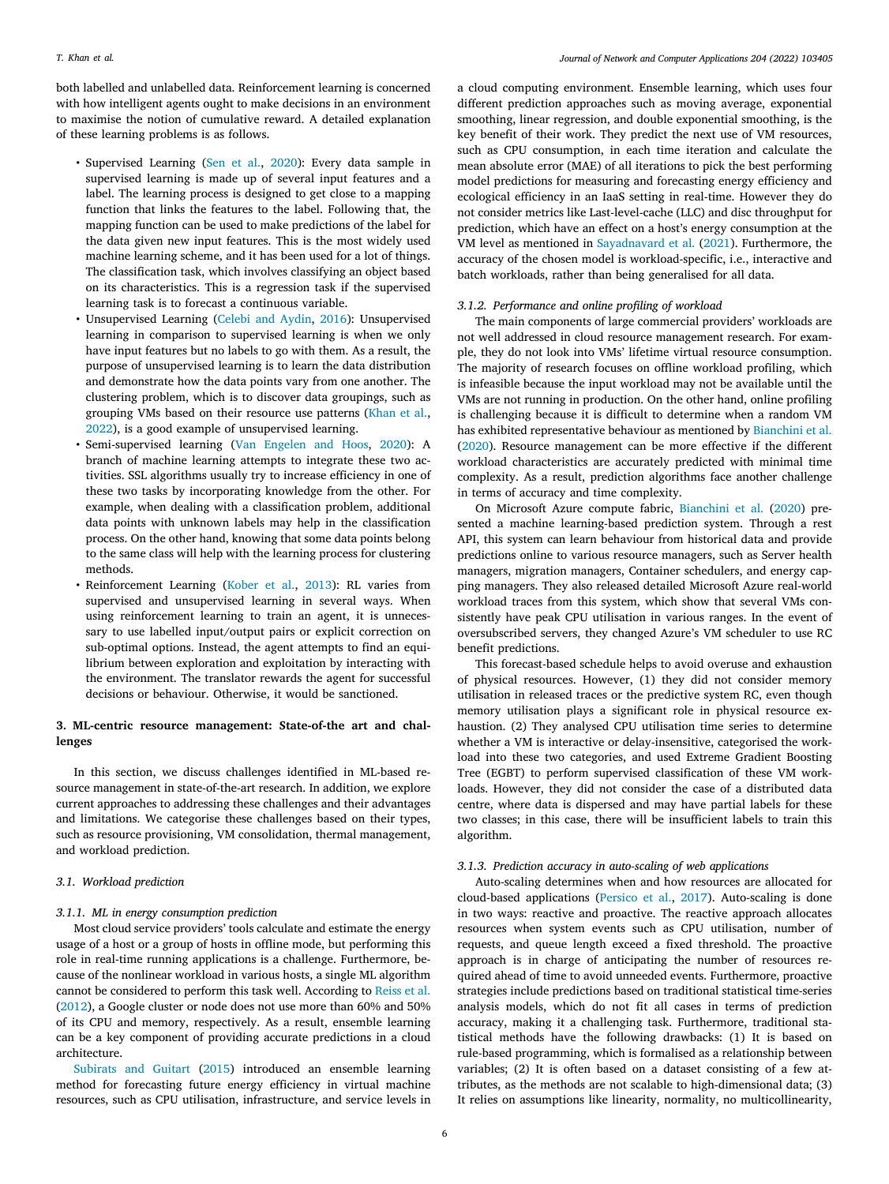both labelled and unlabelled data. Reinforcement learning is concerned with how intelligent agents ought to make decisions in an environment to maximise the notion of cumulative reward. A detailed explanation of these learning problems is as follows.

- Supervised Learning [\(Sen et al.,](#page-16-17) [2020](#page-16-17)): Every data sample in supervised learning is made up of several input features and a label. The learning process is designed to get close to a mapping function that links the features to the label. Following that, the mapping function can be used to make predictions of the label for the data given new input features. This is the most widely used machine learning scheme, and it has been used for a lot of things. The classification task, which involves classifying an object based on its characteristics. This is a regression task if the supervised learning task is to forecast a continuous variable.
- Unsupervised Learning ([Celebi and Aydin,](#page-14-15) [2016](#page-14-15)): Unsupervised learning in comparison to supervised learning is when we only have input features but no labels to go with them. As a result, the purpose of unsupervised learning is to learn the data distribution and demonstrate how the data points vary from one another. The clustering problem, which is to discover data groupings, such as grouping VMs based on their resource use patterns ([Khan et al.](#page-15-34), [2022](#page-15-34)), is a good example of unsupervised learning.
- Semi-supervised learning ([Van Engelen and Hoos,](#page-16-18) [2020\)](#page-16-18): A branch of machine learning attempts to integrate these two activities. SSL algorithms usually try to increase efficiency in one of these two tasks by incorporating knowledge from the other. For example, when dealing with a classification problem, additional data points with unknown labels may help in the classification process. On the other hand, knowing that some data points belong to the same class will help with the learning process for clustering methods.
- Reinforcement Learning [\(Kober et al.,](#page-15-35) [2013](#page-15-35)): RL varies from supervised and unsupervised learning in several ways. When using reinforcement learning to train an agent, it is unnecessary to use labelled input/output pairs or explicit correction on sub-optimal options. Instead, the agent attempts to find an equilibrium between exploration and exploitation by interacting with the environment. The translator rewards the agent for successful decisions or behaviour. Otherwise, it would be sanctioned.

# **3. ML-centric resource management: State-of-the art and challenges**

<span id="page-5-0"></span>In this section, we discuss challenges identified in ML-based resource management in state-of-the-art research. In addition, we explore current approaches to addressing these challenges and their advantages and limitations. We categorise these challenges based on their types, such as resource provisioning, VM consolidation, thermal management, and workload prediction.

# *3.1. Workload prediction*

# *3.1.1. ML in energy consumption prediction*

Most cloud service providers' tools calculate and estimate the energy usage of a host or a group of hosts in offline mode, but performing this role in real-time running applications is a challenge. Furthermore, because of the nonlinear workload in various hosts, a single ML algorithm cannot be considered to perform this task well. According to [Reiss et al.](#page-15-36) ([2012\)](#page-15-36), a Google cluster or node does not use more than 60% and 50% of its CPU and memory, respectively. As a result, ensemble learning can be a key component of providing accurate predictions in a cloud architecture.

[Subirats and Guitart](#page-16-19) [\(2015](#page-16-19)) introduced an ensemble learning method for forecasting future energy efficiency in virtual machine resources, such as CPU utilisation, infrastructure, and service levels in

a cloud computing environment. Ensemble learning, which uses four different prediction approaches such as moving average, exponential smoothing, linear regression, and double exponential smoothing, is the key benefit of their work. They predict the next use of VM resources, such as CPU consumption, in each time iteration and calculate the mean absolute error (MAE) of all iterations to pick the best performing model predictions for measuring and forecasting energy efficiency and ecological efficiency in an IaaS setting in real-time. However they do not consider metrics like Last-level-cache (LLC) and disc throughput for prediction, which have an effect on a host's energy consumption at the VM level as mentioned in [Sayadnavard et al.](#page-16-20) ([2021\)](#page-16-20). Furthermore, the accuracy of the chosen model is workload-specific, i.e., interactive and batch workloads, rather than being generalised for all data.

### *3.1.2. Performance and online profiling of workload*

The main components of large commercial providers' workloads are not well addressed in cloud resource management research. For example, they do not look into VMs' lifetime virtual resource consumption. The majority of research focuses on offline workload profiling, which is infeasible because the input workload may not be available until the VMs are not running in production. On the other hand, online profiling is challenging because it is difficult to determine when a random VM has exhibited representative behaviour as mentioned by [Bianchini et al.](#page-14-1) ([2020\)](#page-14-1). Resource management can be more effective if the different workload characteristics are accurately predicted with minimal time complexity. As a result, prediction algorithms face another challenge in terms of accuracy and time complexity.

On Microsoft Azure compute fabric, [Bianchini et al.](#page-14-1) ([2020\)](#page-14-1) presented a machine learning-based prediction system. Through a rest API, this system can learn behaviour from historical data and provide predictions online to various resource managers, such as Server health managers, migration managers, Container schedulers, and energy capping managers. They also released detailed Microsoft Azure real-world workload traces from this system, which show that several VMs consistently have peak CPU utilisation in various ranges. In the event of oversubscribed servers, they changed Azure's VM scheduler to use RC benefit predictions.

This forecast-based schedule helps to avoid overuse and exhaustion of physical resources. However, (1) they did not consider memory utilisation in released traces or the predictive system RC, even though memory utilisation plays a significant role in physical resource exhaustion. (2) They analysed CPU utilisation time series to determine whether a VM is interactive or delay-insensitive, categorised the workload into these two categories, and used Extreme Gradient Boosting Tree (EGBT) to perform supervised classification of these VM workloads. However, they did not consider the case of a distributed data centre, where data is dispersed and may have partial labels for these two classes; in this case, there will be insufficient labels to train this algorithm.

### *3.1.3. Prediction accuracy in auto-scaling of web applications*

Auto-scaling determines when and how resources are allocated for cloud-based applications ([Persico et al.](#page-15-37), [2017](#page-15-37)). Auto-scaling is done in two ways: reactive and proactive. The reactive approach allocates resources when system events such as CPU utilisation, number of requests, and queue length exceed a fixed threshold. The proactive approach is in charge of anticipating the number of resources required ahead of time to avoid unneeded events. Furthermore, proactive strategies include predictions based on traditional statistical time-series analysis models, which do not fit all cases in terms of prediction accuracy, making it a challenging task. Furthermore, traditional statistical methods have the following drawbacks: (1) It is based on rule-based programming, which is formalised as a relationship between variables; (2) It is often based on a dataset consisting of a few attributes, as the methods are not scalable to high-dimensional data; (3) It relies on assumptions like linearity, normality, no multicollinearity,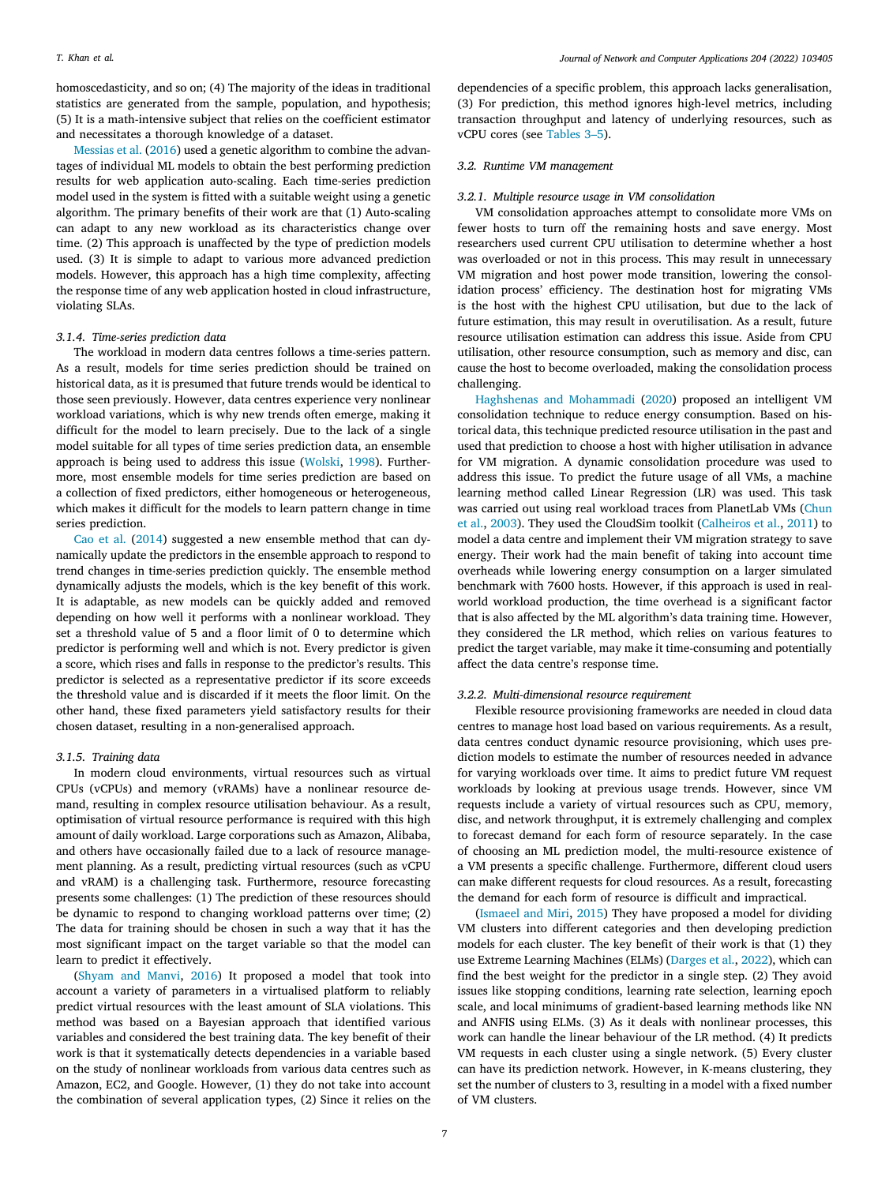homoscedasticity, and so on; (4) The majority of the ideas in traditional statistics are generated from the sample, population, and hypothesis; (5) It is a math-intensive subject that relies on the coefficient estimator and necessitates a thorough knowledge of a dataset.

[Messias et al.](#page-15-38) [\(2016](#page-15-38)) used a genetic algorithm to combine the advantages of individual ML models to obtain the best performing prediction results for web application auto-scaling. Each time-series prediction model used in the system is fitted with a suitable weight using a genetic algorithm. The primary benefits of their work are that (1) Auto-scaling can adapt to any new workload as its characteristics change over time. (2) This approach is unaffected by the type of prediction models used. (3) It is simple to adapt to various more advanced prediction models. However, this approach has a high time complexity, affecting the response time of any web application hosted in cloud infrastructure, violating SLAs.

# *3.1.4. Time-series prediction data*

The workload in modern data centres follows a time-series pattern. As a result, models for time series prediction should be trained on historical data, as it is presumed that future trends would be identical to those seen previously. However, data centres experience very nonlinear workload variations, which is why new trends often emerge, making it difficult for the model to learn precisely. Due to the lack of a single model suitable for all types of time series prediction data, an ensemble approach is being used to address this issue ([Wolski,](#page-16-21) [1998](#page-16-21)). Furthermore, most ensemble models for time series prediction are based on a collection of fixed predictors, either homogeneous or heterogeneous, which makes it difficult for the models to learn pattern change in time series prediction.

[Cao et al.](#page-14-16) [\(2014\)](#page-14-16) suggested a new ensemble method that can dynamically update the predictors in the ensemble approach to respond to trend changes in time-series prediction quickly. The ensemble method dynamically adjusts the models, which is the key benefit of this work. It is adaptable, as new models can be quickly added and removed depending on how well it performs with a nonlinear workload. They set a threshold value of 5 and a floor limit of 0 to determine which predictor is performing well and which is not. Every predictor is given a score, which rises and falls in response to the predictor's results. This predictor is selected as a representative predictor if its score exceeds the threshold value and is discarded if it meets the floor limit. On the other hand, these fixed parameters yield satisfactory results for their chosen dataset, resulting in a non-generalised approach.

### *3.1.5. Training data*

In modern cloud environments, virtual resources such as virtual CPUs (vCPUs) and memory (vRAMs) have a nonlinear resource demand, resulting in complex resource utilisation behaviour. As a result, optimisation of virtual resource performance is required with this high amount of daily workload. Large corporations such as Amazon, Alibaba, and others have occasionally failed due to a lack of resource management planning. As a result, predicting virtual resources (such as vCPU and vRAM) is a challenging task. Furthermore, resource forecasting presents some challenges: (1) The prediction of these resources should be dynamic to respond to changing workload patterns over time; (2) The data for training should be chosen in such a way that it has the most significant impact on the target variable so that the model can learn to predict it effectively.

([Shyam and Manvi,](#page-16-22) [2016\)](#page-16-22) It proposed a model that took into account a variety of parameters in a virtualised platform to reliably predict virtual resources with the least amount of SLA violations. This method was based on a Bayesian approach that identified various variables and considered the best training data. The key benefit of their work is that it systematically detects dependencies in a variable based on the study of nonlinear workloads from various data centres such as Amazon, EC2, and Google. However, (1) they do not take into account the combination of several application types, (2) Since it relies on the

dependencies of a specific problem, this approach lacks generalisation, (3) For prediction, this method ignores high-level metrics, including transaction throughput and latency of underlying resources, such as vCPU cores (see [Tables](#page-7-0) [3](#page-7-0)[–5\)](#page-9-0).

# *3.2. Runtime VM management*

### *3.2.1. Multiple resource usage in VM consolidation*

VM consolidation approaches attempt to consolidate more VMs on fewer hosts to turn off the remaining hosts and save energy. Most researchers used current CPU utilisation to determine whether a host was overloaded or not in this process. This may result in unnecessary VM migration and host power mode transition, lowering the consolidation process' efficiency. The destination host for migrating VMs is the host with the highest CPU utilisation, but due to the lack of future estimation, this may result in overutilisation. As a result, future resource utilisation estimation can address this issue. Aside from CPU utilisation, other resource consumption, such as memory and disc, can cause the host to become overloaded, making the consolidation process challenging.

[Haghshenas and Mohammadi](#page-15-39) ([2020](#page-15-39)) proposed an intelligent VM consolidation technique to reduce energy consumption. Based on historical data, this technique predicted resource utilisation in the past and used that prediction to choose a host with higher utilisation in advance for VM migration. A dynamic consolidation procedure was used to address this issue. To predict the future usage of all VMs, a machine learning method called Linear Regression (LR) was used. This task was carried out using real workload traces from PlanetLab VMs ([Chun](#page-14-17) [et al.](#page-14-17), [2003\)](#page-14-17). They used the CloudSim toolkit [\(Calheiros et al.,](#page-14-18) [2011](#page-14-18)) to model a data centre and implement their VM migration strategy to save energy. Their work had the main benefit of taking into account time overheads while lowering energy consumption on a larger simulated benchmark with 7600 hosts. However, if this approach is used in realworld workload production, the time overhead is a significant factor that is also affected by the ML algorithm's data training time. However, they considered the LR method, which relies on various features to predict the target variable, may make it time-consuming and potentially affect the data centre's response time.

# *3.2.2. Multi-dimensional resource requirement*

<span id="page-6-0"></span>Flexible resource provisioning frameworks are needed in cloud data centres to manage host load based on various requirements. As a result, data centres conduct dynamic resource provisioning, which uses prediction models to estimate the number of resources needed in advance for varying workloads over time. It aims to predict future VM request workloads by looking at previous usage trends. However, since VM requests include a variety of virtual resources such as CPU, memory, disc, and network throughput, it is extremely challenging and complex to forecast demand for each form of resource separately. In the case of choosing an ML prediction model, the multi-resource existence of a VM presents a specific challenge. Furthermore, different cloud users can make different requests for cloud resources. As a result, forecasting the demand for each form of resource is difficult and impractical.

([Ismaeel and Miri,](#page-15-40) [2015](#page-15-40)) They have proposed a model for dividing VM clusters into different categories and then developing prediction models for each cluster. The key benefit of their work is that (1) they use Extreme Learning Machines (ELMs) [\(Darges et al.,](#page-14-19) [2022\)](#page-14-19), which can find the best weight for the predictor in a single step. (2) They avoid issues like stopping conditions, learning rate selection, learning epoch scale, and local minimums of gradient-based learning methods like NN and ANFIS using ELMs. (3) As it deals with nonlinear processes, this work can handle the linear behaviour of the LR method. (4) It predicts VM requests in each cluster using a single network. (5) Every cluster can have its prediction network. However, in K-means clustering, they set the number of clusters to 3, resulting in a model with a fixed number of VM clusters.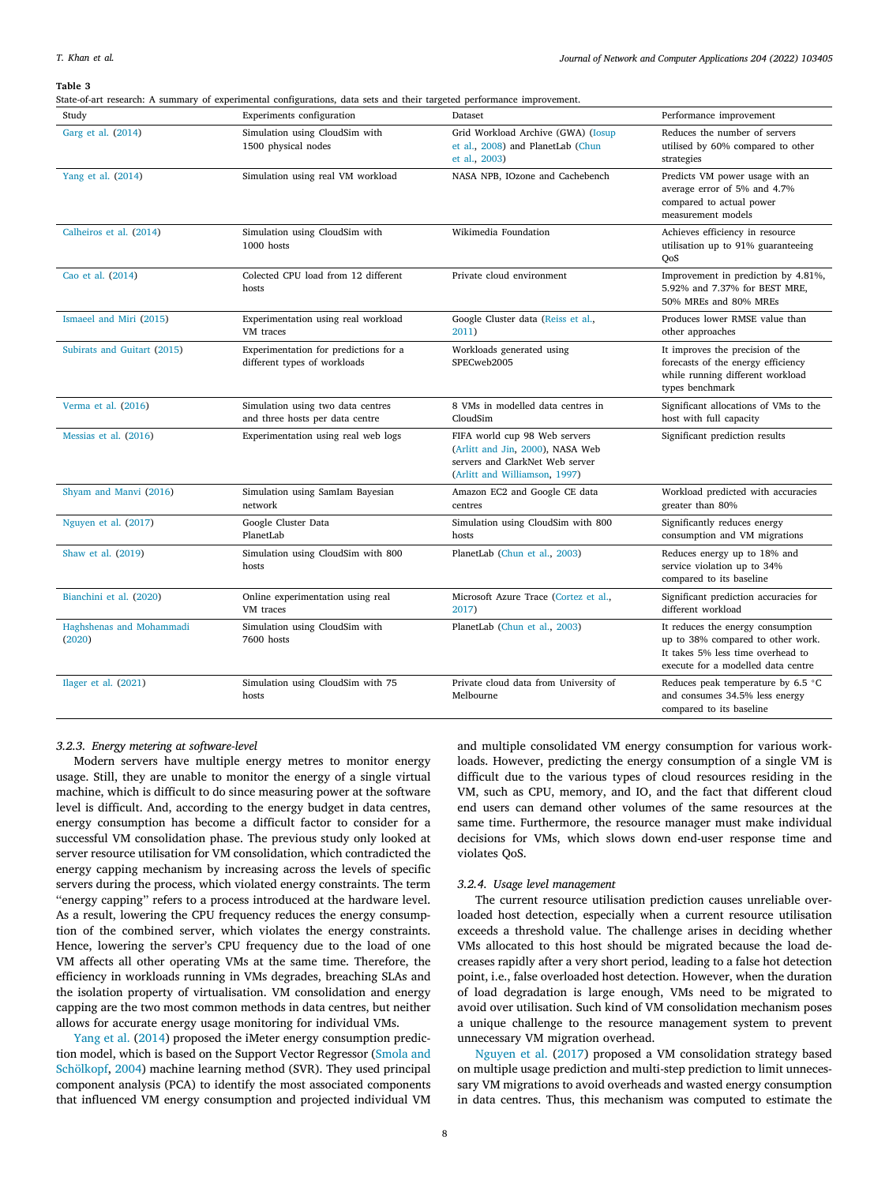#### **Table 3**

<span id="page-7-0"></span>State-of-art research: A summary of experimental configurations, data sets and their targeted performance improvement.

| Study                              | Experiments configuration                                             | Dataset                                                                                                                               | Performance improvement                                                                                                                           |
|------------------------------------|-----------------------------------------------------------------------|---------------------------------------------------------------------------------------------------------------------------------------|---------------------------------------------------------------------------------------------------------------------------------------------------|
| Garg et al. (2014)                 | Simulation using CloudSim with<br>1500 physical nodes                 | Grid Workload Archive (GWA) (Iosup<br>et al., 2008) and PlanetLab (Chun<br>et al., 2003)                                              | Reduces the number of servers<br>utilised by 60% compared to other<br>strategies                                                                  |
| Yang et al. (2014)                 | Simulation using real VM workload                                     | NASA NPB, IOzone and Cachebench                                                                                                       | Predicts VM power usage with an<br>average error of 5% and 4.7%<br>compared to actual power<br>measurement models                                 |
| Calheiros et al. (2014)            | Simulation using CloudSim with<br>1000 hosts                          | Wikimedia Foundation                                                                                                                  | Achieves efficiency in resource<br>utilisation up to 91% guaranteeing<br>OoS                                                                      |
| Cao et al. (2014)                  | Colected CPU load from 12 different<br>hosts                          | Private cloud environment                                                                                                             | Improvement in prediction by 4.81%,<br>5.92% and 7.37% for BEST MRE,<br>50% MREs and 80% MREs                                                     |
| Ismaeel and Miri (2015)            | Experimentation using real workload<br>VM traces                      | Google Cluster data (Reiss et al.,<br>2011)                                                                                           | Produces lower RMSE value than<br>other approaches                                                                                                |
| Subirats and Guitart (2015)        | Experimentation for predictions for a<br>different types of workloads | Workloads generated using<br>SPECweb2005                                                                                              | It improves the precision of the<br>forecasts of the energy efficiency<br>while running different workload<br>types benchmark                     |
| Verma et al. (2016)                | Simulation using two data centres<br>and three hosts per data centre  | 8 VMs in modelled data centres in<br>CloudSim                                                                                         | Significant allocations of VMs to the<br>host with full capacity                                                                                  |
| Messias et al. (2016)              | Experimentation using real web logs                                   | FIFA world cup 98 Web servers<br>(Arlitt and Jin, 2000), NASA Web<br>servers and ClarkNet Web server<br>(Arlitt and Williamson, 1997) | Significant prediction results                                                                                                                    |
| Shyam and Manvi (2016)             | Simulation using SamIam Bayesian<br>network                           | Amazon EC2 and Google CE data<br>centres                                                                                              | Workload predicted with accuracies<br>greater than 80%                                                                                            |
| Nguyen et al. (2017)               | Google Cluster Data<br>PlanetLab                                      | Simulation using CloudSim with 800<br>hosts                                                                                           | Significantly reduces energy<br>consumption and VM migrations                                                                                     |
| Shaw et al. (2019)                 | Simulation using CloudSim with 800<br>hosts                           | PlanetLab (Chun et al., 2003)                                                                                                         | Reduces energy up to 18% and<br>service violation up to 34%<br>compared to its baseline                                                           |
| Bianchini et al. (2020)            | Online experimentation using real<br>VM traces                        | Microsoft Azure Trace (Cortez et al.,<br>2017)                                                                                        | Significant prediction accuracies for<br>different workload                                                                                       |
| Haghshenas and Mohammadi<br>(2020) | Simulation using CloudSim with<br>7600 hosts                          | PlanetLab (Chun et al., 2003)                                                                                                         | It reduces the energy consumption<br>up to 38% compared to other work.<br>It takes 5% less time overhead to<br>execute for a modelled data centre |
| Ilager et al. (2021)               | Simulation using CloudSim with 75<br>hosts                            | Private cloud data from University of<br>Melbourne                                                                                    | Reduces peak temperature by 6.5 °C<br>and consumes 34.5% less energy<br>compared to its baseline                                                  |

# *3.2.3. Energy metering at software-level*

Modern servers have multiple energy metres to monitor energy usage. Still, they are unable to monitor the energy of a single virtual machine, which is difficult to do since measuring power at the software level is difficult. And, according to the energy budget in data centres, energy consumption has become a difficult factor to consider for a successful VM consolidation phase. The previous study only looked at server resource utilisation for VM consolidation, which contradicted the energy capping mechanism by increasing across the levels of specific servers during the process, which violated energy constraints. The term ''energy capping'' refers to a process introduced at the hardware level. As a result, lowering the CPU frequency reduces the energy consumption of the combined server, which violates the energy constraints. Hence, lowering the server's CPU frequency due to the load of one VM affects all other operating VMs at the same time. Therefore, the efficiency in workloads running in VMs degrades, breaching SLAs and the isolation property of virtualisation. VM consolidation and energy capping are the two most common methods in data centres, but neither allows for accurate energy usage monitoring for individual VMs.

[Yang et al.](#page-16-23) ([2014\)](#page-16-23) proposed the iMeter energy consumption prediction model, which is based on the Support Vector Regressor ([Smola and](#page-16-27) [Schölkopf](#page-16-27), [2004\)](#page-16-27) machine learning method (SVR). They used principal component analysis (PCA) to identify the most associated components that influenced VM energy consumption and projected individual VM

and multiple consolidated VM energy consumption for various workloads. However, predicting the energy consumption of a single VM is difficult due to the various types of cloud resources residing in the VM, such as CPU, memory, and IO, and the fact that different cloud end users can demand other volumes of the same resources at the same time. Furthermore, the resource manager must make individual decisions for VMs, which slows down end-user response time and violates QoS.

### *3.2.4. Usage level management*

The current resource utilisation prediction causes unreliable overloaded host detection, especially when a current resource utilisation exceeds a threshold value. The challenge arises in deciding whether VMs allocated to this host should be migrated because the load decreases rapidly after a very short period, leading to a false hot detection point, i.e., false overloaded host detection. However, when the duration of load degradation is large enough, VMs need to be migrated to avoid over utilisation. Such kind of VM consolidation mechanism poses a unique challenge to the resource management system to prevent unnecessary VM migration overhead.

[Nguyen et al.](#page-15-43) [\(2017](#page-15-43)) proposed a VM consolidation strategy based on multiple usage prediction and multi-step prediction to limit unnecessary VM migrations to avoid overheads and wasted energy consumption in data centres. Thus, this mechanism was computed to estimate the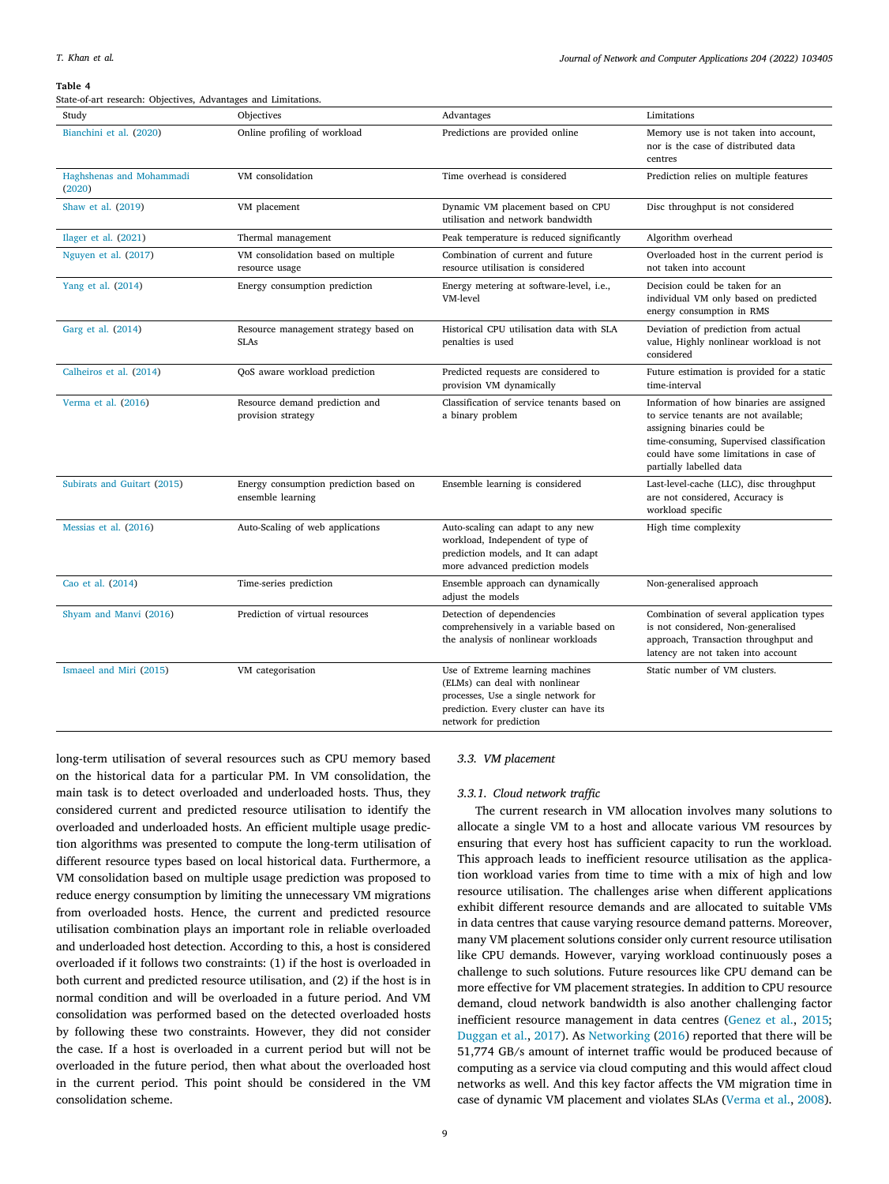#### *Journal of Network and Computer Applications 204 (2022) 103405*

# **Table 4**

| State-of-art research: Objectives, Advantages and Limitations. |                                                             |                                                                                                                                                                               |                                                                                                                                                                                                                                    |  |
|----------------------------------------------------------------|-------------------------------------------------------------|-------------------------------------------------------------------------------------------------------------------------------------------------------------------------------|------------------------------------------------------------------------------------------------------------------------------------------------------------------------------------------------------------------------------------|--|
| Study                                                          | Objectives                                                  | Advantages                                                                                                                                                                    | Limitations                                                                                                                                                                                                                        |  |
| Bianchini et al. (2020)                                        | Online profiling of workload                                | Predictions are provided online                                                                                                                                               | Memory use is not taken into account,<br>nor is the case of distributed data<br>centres                                                                                                                                            |  |
| Haghshenas and Mohammadi<br>(2020)                             | VM consolidation                                            | Time overhead is considered                                                                                                                                                   | Prediction relies on multiple features                                                                                                                                                                                             |  |
| Shaw et al. (2019)                                             | VM placement                                                | Dynamic VM placement based on CPU<br>utilisation and network bandwidth                                                                                                        | Disc throughput is not considered                                                                                                                                                                                                  |  |
| Ilager et al. (2021)                                           | Thermal management                                          | Peak temperature is reduced significantly                                                                                                                                     | Algorithm overhead                                                                                                                                                                                                                 |  |
| Nguyen et al. (2017)                                           | VM consolidation based on multiple<br>resource usage        | Combination of current and future<br>resource utilisation is considered                                                                                                       | Overloaded host in the current period is<br>not taken into account                                                                                                                                                                 |  |
| Yang et al. (2014)                                             | Energy consumption prediction                               | Energy metering at software-level, <i>i.e.</i> ,<br>VM-level                                                                                                                  | Decision could be taken for an<br>individual VM only based on predicted<br>energy consumption in RMS                                                                                                                               |  |
| Garg et al. (2014)                                             | Resource management strategy based on<br><b>SLAs</b>        | Historical CPU utilisation data with SLA<br>penalties is used                                                                                                                 | Deviation of prediction from actual<br>value, Highly nonlinear workload is not<br>considered                                                                                                                                       |  |
| Calheiros et al. (2014)                                        | QoS aware workload prediction                               | Predicted requests are considered to<br>provision VM dynamically                                                                                                              | Future estimation is provided for a static<br>time-interval                                                                                                                                                                        |  |
| Verma et al. (2016)                                            | Resource demand prediction and<br>provision strategy        | Classification of service tenants based on<br>a binary problem                                                                                                                | Information of how binaries are assigned<br>to service tenants are not available;<br>assigning binaries could be<br>time-consuming, Supervised classification<br>could have some limitations in case of<br>partially labelled data |  |
| Subirats and Guitart (2015)                                    | Energy consumption prediction based on<br>ensemble learning | Ensemble learning is considered                                                                                                                                               | Last-level-cache (LLC), disc throughput<br>are not considered, Accuracy is<br>workload specific                                                                                                                                    |  |
| Messias et al. (2016)                                          | Auto-Scaling of web applications                            | Auto-scaling can adapt to any new<br>workload, Independent of type of<br>prediction models, and It can adapt<br>more advanced prediction models                               | High time complexity                                                                                                                                                                                                               |  |
| Cao et al. (2014)                                              | Time-series prediction                                      | Ensemble approach can dynamically<br>adjust the models                                                                                                                        | Non-generalised approach                                                                                                                                                                                                           |  |
| Shyam and Manvi (2016)                                         | Prediction of virtual resources                             | Detection of dependencies<br>comprehensively in a variable based on<br>the analysis of nonlinear workloads                                                                    | Combination of several application types<br>is not considered, Non-generalised<br>approach, Transaction throughput and<br>latency are not taken into account                                                                       |  |
| Ismaeel and Miri (2015)                                        | VM categorisation                                           | Use of Extreme learning machines<br>(ELMs) can deal with nonlinear<br>processes, Use a single network for<br>prediction. Every cluster can have its<br>network for prediction | Static number of VM clusters.                                                                                                                                                                                                      |  |

long-term utilisation of several resources such as CPU memory based on the historical data for a particular PM. In VM consolidation, the main task is to detect overloaded and underloaded hosts. Thus, they considered current and predicted resource utilisation to identify the overloaded and underloaded hosts. An efficient multiple usage prediction algorithms was presented to compute the long-term utilisation of different resource types based on local historical data. Furthermore, a VM consolidation based on multiple usage prediction was proposed to reduce energy consumption by limiting the unnecessary VM migrations from overloaded hosts. Hence, the current and predicted resource utilisation combination plays an important role in reliable overloaded and underloaded host detection. According to this, a host is considered overloaded if it follows two constraints: (1) if the host is overloaded in both current and predicted resource utilisation, and (2) if the host is in normal condition and will be overloaded in a future period. And VM consolidation was performed based on the detected overloaded hosts by following these two constraints. However, they did not consider the case. If a host is overloaded in a current period but will not be overloaded in the future period, then what about the overloaded host in the current period. This point should be considered in the VM consolidation scheme.

# *3.3. VM placement*

### *3.3.1. Cloud network traffic*

The current research in VM allocation involves many solutions to allocate a single VM to a host and allocate various VM resources by ensuring that every host has sufficient capacity to run the workload. This approach leads to inefficient resource utilisation as the application workload varies from time to time with a mix of high and low resource utilisation. The challenges arise when different applications exhibit different resource demands and are allocated to suitable VMs in data centres that cause varying resource demand patterns. Moreover, many VM placement solutions consider only current resource utilisation like CPU demands. However, varying workload continuously poses a challenge to such solutions. Future resources like CPU demand can be more effective for VM placement strategies. In addition to CPU resource demand, cloud network bandwidth is also another challenging factor inefficient resource management in data centres [\(Genez et al.,](#page-15-45) [2015](#page-15-45); [Duggan et al.,](#page-14-23) [2017\)](#page-14-23). As [Networking](#page-15-46) [\(2016\)](#page-15-46) reported that there will be 51,774 GB/s amount of internet traffic would be produced because of computing as a service via cloud computing and this would affect cloud networks as well. And this key factor affects the VM migration time in case of dynamic VM placement and violates SLAs ([Verma et al.,](#page-16-28) [2008](#page-16-28)).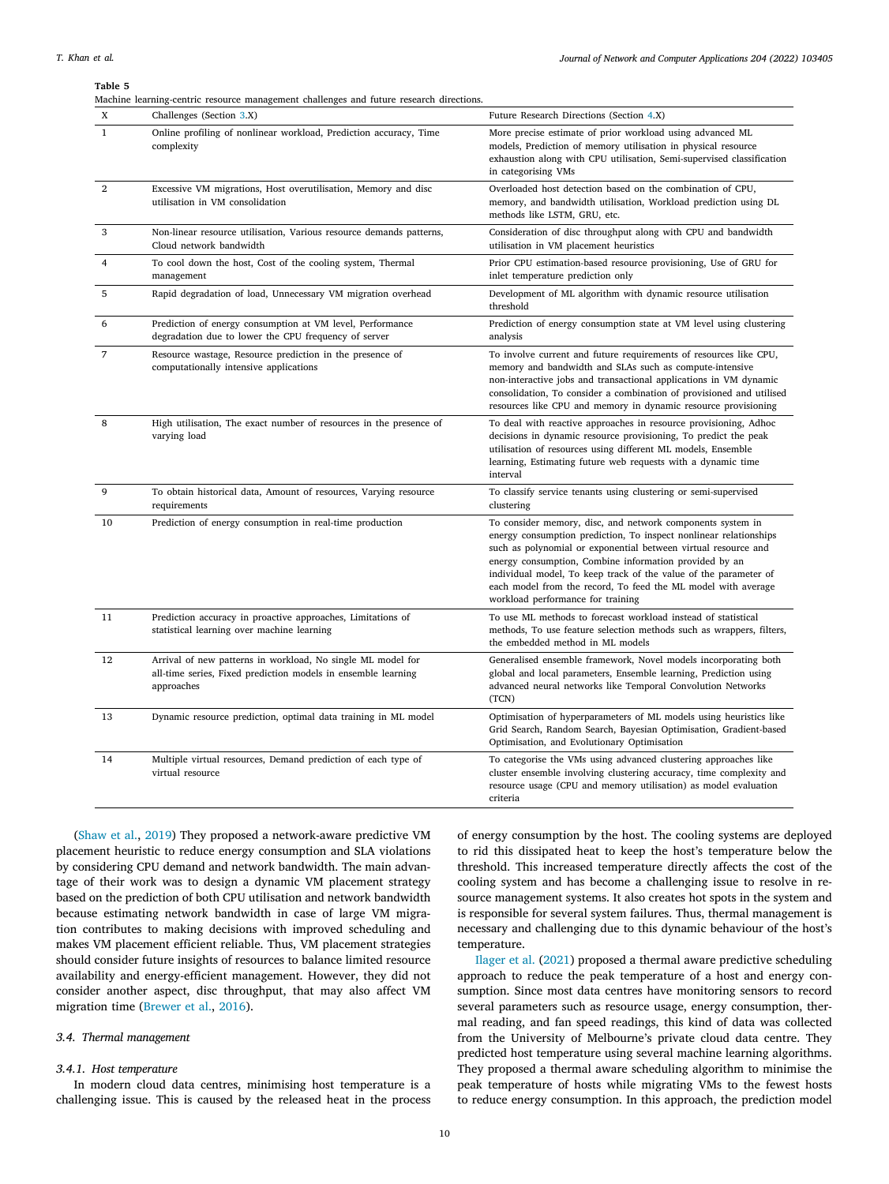*Journal of Network and Computer Applications 204 (2022) 103405*

<span id="page-9-0"></span>

Machine learning-centric resource management challenges and future research directions.

| X              | Challenges (Section 3.X)                                                                                                                   | Future Research Directions (Section 4.X)                                                                                                                                                                                                                                                                                                                                                                                              |
|----------------|--------------------------------------------------------------------------------------------------------------------------------------------|---------------------------------------------------------------------------------------------------------------------------------------------------------------------------------------------------------------------------------------------------------------------------------------------------------------------------------------------------------------------------------------------------------------------------------------|
| $\mathbf{1}$   | Online profiling of nonlinear workload, Prediction accuracy, Time<br>complexity                                                            | More precise estimate of prior workload using advanced ML<br>models, Prediction of memory utilisation in physical resource<br>exhaustion along with CPU utilisation, Semi-supervised classification<br>in categorising VMs                                                                                                                                                                                                            |
| $\overline{2}$ | Excessive VM migrations, Host overutilisation, Memory and disc<br>utilisation in VM consolidation                                          | Overloaded host detection based on the combination of CPU,<br>memory, and bandwidth utilisation, Workload prediction using DL<br>methods like LSTM, GRU, etc.                                                                                                                                                                                                                                                                         |
| 3              | Non-linear resource utilisation, Various resource demands patterns,<br>Cloud network bandwidth                                             | Consideration of disc throughput along with CPU and bandwidth<br>utilisation in VM placement heuristics                                                                                                                                                                                                                                                                                                                               |
| $\overline{4}$ | To cool down the host, Cost of the cooling system, Thermal<br>management                                                                   | Prior CPU estimation-based resource provisioning, Use of GRU for<br>inlet temperature prediction only                                                                                                                                                                                                                                                                                                                                 |
| 5              | Rapid degradation of load, Unnecessary VM migration overhead                                                                               | Development of ML algorithm with dynamic resource utilisation<br>threshold                                                                                                                                                                                                                                                                                                                                                            |
| 6              | Prediction of energy consumption at VM level, Performance<br>degradation due to lower the CPU frequency of server                          | Prediction of energy consumption state at VM level using clustering<br>analysis                                                                                                                                                                                                                                                                                                                                                       |
| 7              | Resource wastage, Resource prediction in the presence of<br>computationally intensive applications                                         | To involve current and future requirements of resources like CPU,<br>memory and bandwidth and SLAs such as compute-intensive<br>non-interactive jobs and transactional applications in VM dynamic<br>consolidation, To consider a combination of provisioned and utilised<br>resources like CPU and memory in dynamic resource provisioning                                                                                           |
| 8              | High utilisation, The exact number of resources in the presence of<br>varying load                                                         | To deal with reactive approaches in resource provisioning, Adhoc<br>decisions in dynamic resource provisioning, To predict the peak<br>utilisation of resources using different ML models, Ensemble<br>learning, Estimating future web requests with a dynamic time<br>interval                                                                                                                                                       |
| 9              | To obtain historical data, Amount of resources, Varying resource<br>requirements                                                           | To classify service tenants using clustering or semi-supervised<br>clustering                                                                                                                                                                                                                                                                                                                                                         |
| 10             | Prediction of energy consumption in real-time production                                                                                   | To consider memory, disc, and network components system in<br>energy consumption prediction, To inspect nonlinear relationships<br>such as polynomial or exponential between virtual resource and<br>energy consumption, Combine information provided by an<br>individual model, To keep track of the value of the parameter of<br>each model from the record, To feed the ML model with average<br>workload performance for training |
| 11             | Prediction accuracy in proactive approaches, Limitations of<br>statistical learning over machine learning                                  | To use ML methods to forecast workload instead of statistical<br>methods, To use feature selection methods such as wrappers, filters,<br>the embedded method in ML models                                                                                                                                                                                                                                                             |
| 12             | Arrival of new patterns in workload, No single ML model for<br>all-time series, Fixed prediction models in ensemble learning<br>approaches | Generalised ensemble framework, Novel models incorporating both<br>global and local parameters, Ensemble learning, Prediction using<br>advanced neural networks like Temporal Convolution Networks<br>(TCN)                                                                                                                                                                                                                           |
| 13             | Dynamic resource prediction, optimal data training in ML model                                                                             | Optimisation of hyperparameters of ML models using heuristics like<br>Grid Search, Random Search, Bayesian Optimisation, Gradient-based<br>Optimisation, and Evolutionary Optimisation                                                                                                                                                                                                                                                |
| 14             | Multiple virtual resources, Demand prediction of each type of<br>virtual resource                                                          | To categorise the VMs using advanced clustering approaches like<br>cluster ensemble involving clustering accuracy, time complexity and<br>resource usage (CPU and memory utilisation) as model evaluation<br>criteria                                                                                                                                                                                                                 |
|                |                                                                                                                                            |                                                                                                                                                                                                                                                                                                                                                                                                                                       |

([Shaw et al.](#page-16-26), [2019](#page-16-26)) They proposed a network-aware predictive VM placement heuristic to reduce energy consumption and SLA violations by considering CPU demand and network bandwidth. The main advantage of their work was to design a dynamic VM placement strategy based on the prediction of both CPU utilisation and network bandwidth because estimating network bandwidth in case of large VM migration contributes to making decisions with improved scheduling and makes VM placement efficient reliable. Thus, VM placement strategies should consider future insights of resources to balance limited resource availability and energy-efficient management. However, they did not consider another aspect, disc throughput, that may also affect VM migration time [\(Brewer et al.,](#page-14-24) [2016\)](#page-14-24).

# *3.4. Thermal management*

### *3.4.1. Host temperature*

In modern cloud data centres, minimising host temperature is a challenging issue. This is caused by the released heat in the process

of energy consumption by the host. The cooling systems are deployed to rid this dissipated heat to keep the host's temperature below the threshold. This increased temperature directly affects the cost of the cooling system and has become a challenging issue to resolve in resource management systems. It also creates hot spots in the system and is responsible for several system failures. Thus, thermal management is necessary and challenging due to this dynamic behaviour of the host's temperature.

[Ilager et al.](#page-15-44) [\(2021](#page-15-44)) proposed a thermal aware predictive scheduling approach to reduce the peak temperature of a host and energy consumption. Since most data centres have monitoring sensors to record several parameters such as resource usage, energy consumption, thermal reading, and fan speed readings, this kind of data was collected from the University of Melbourne's private cloud data centre. They predicted host temperature using several machine learning algorithms. They proposed a thermal aware scheduling algorithm to minimise the peak temperature of hosts while migrating VMs to the fewest hosts to reduce energy consumption. In this approach, the prediction model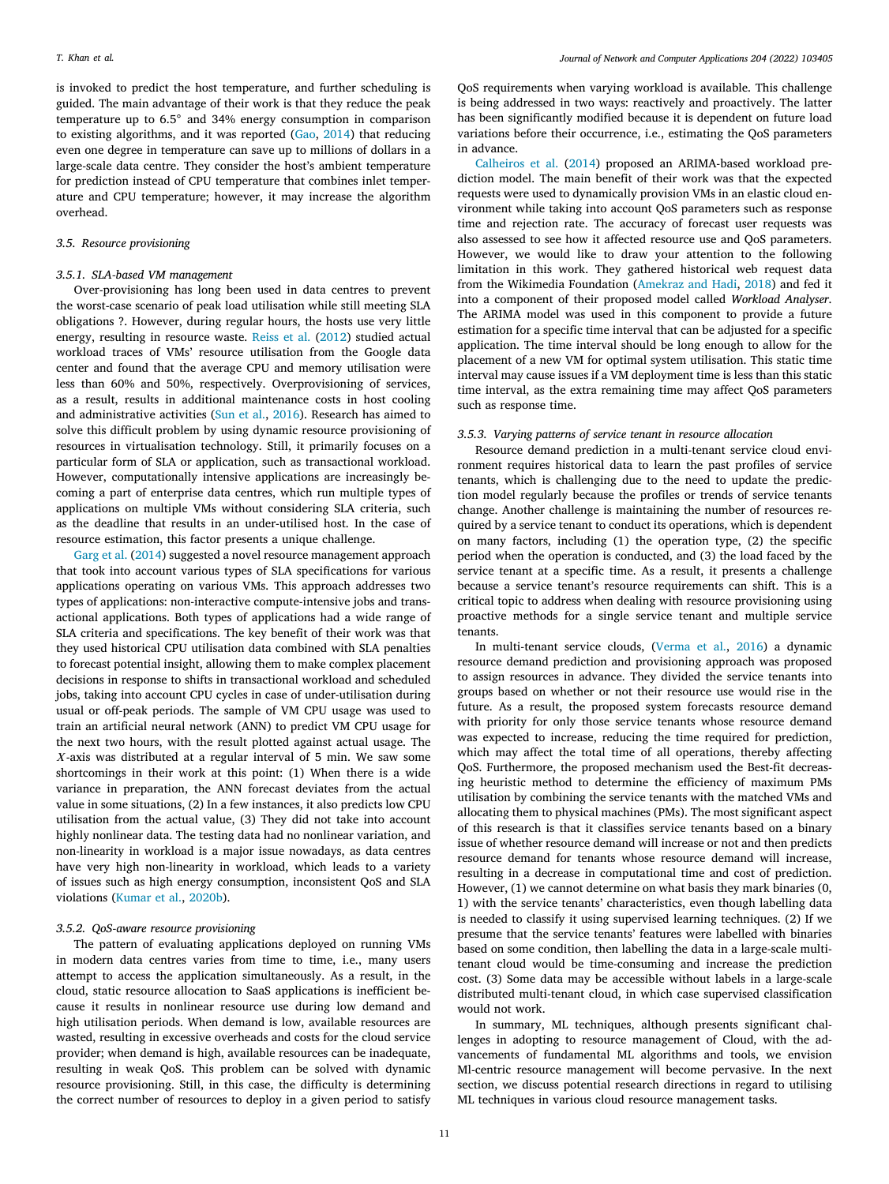is invoked to predict the host temperature, and further scheduling is guided. The main advantage of their work is that they reduce the peak temperature up to 6.5◦ and 34% energy consumption in comparison to existing algorithms, and it was reported ([Gao,](#page-15-13) [2014\)](#page-15-13) that reducing even one degree in temperature can save up to millions of dollars in a large-scale data centre. They consider the host's ambient temperature for prediction instead of CPU temperature that combines inlet temperature and CPU temperature; however, it may increase the algorithm overhead.

# *3.5. Resource provisioning*

### *3.5.1. SLA-based VM management*

Over-provisioning has long been used in data centres to prevent the worst-case scenario of peak load utilisation while still meeting SLA obligations ?. However, during regular hours, the hosts use very little energy, resulting in resource waste. [Reiss et al.](#page-15-36) [\(2012](#page-15-36)) studied actual workload traces of VMs' resource utilisation from the Google data center and found that the average CPU and memory utilisation were less than 60% and 50%, respectively. Overprovisioning of services, as a result, results in additional maintenance costs in host cooling and administrative activities [\(Sun et al.,](#page-16-8) [2016\)](#page-16-8). Research has aimed to solve this difficult problem by using dynamic resource provisioning of resources in virtualisation technology. Still, it primarily focuses on a particular form of SLA or application, such as transactional workload. However, computationally intensive applications are increasingly becoming a part of enterprise data centres, which run multiple types of applications on multiple VMs without considering SLA criteria, such as the deadline that results in an under-utilised host. In the case of resource estimation, this factor presents a unique challenge.

[Garg et al.](#page-15-41) [\(2014](#page-15-41)) suggested a novel resource management approach that took into account various types of SLA specifications for various applications operating on various VMs. This approach addresses two types of applications: non-interactive compute-intensive jobs and transactional applications. Both types of applications had a wide range of SLA criteria and specifications. The key benefit of their work was that they used historical CPU utilisation data combined with SLA penalties to forecast potential insight, allowing them to make complex placement decisions in response to shifts in transactional workload and scheduled jobs, taking into account CPU cycles in case of under-utilisation during usual or off-peak periods. The sample of VM CPU usage was used to train an artificial neural network (ANN) to predict VM CPU usage for the next two hours, with the result plotted against actual usage. The  $X$ -axis was distributed at a regular interval of 5 min. We saw some shortcomings in their work at this point: (1) When there is a wide variance in preparation, the ANN forecast deviates from the actual value in some situations, (2) In a few instances, it also predicts low CPU utilisation from the actual value, (3) They did not take into account highly nonlinear data. The testing data had no nonlinear variation, and non-linearity in workload is a major issue nowadays, as data centres have very high non-linearity in workload, which leads to a variety of issues such as high energy consumption, inconsistent QoS and SLA violations ([Kumar et al.,](#page-15-0) [2020b](#page-15-0)).

# *3.5.2. QoS-aware resource provisioning*

<span id="page-10-0"></span>The pattern of evaluating applications deployed on running VMs in modern data centres varies from time to time, i.e., many users attempt to access the application simultaneously. As a result, in the cloud, static resource allocation to SaaS applications is inefficient because it results in nonlinear resource use during low demand and high utilisation periods. When demand is low, available resources are wasted, resulting in excessive overheads and costs for the cloud service provider; when demand is high, available resources can be inadequate, resulting in weak QoS. This problem can be solved with dynamic resource provisioning. Still, in this case, the difficulty is determining the correct number of resources to deploy in a given period to satisfy

QoS requirements when varying workload is available. This challenge is being addressed in two ways: reactively and proactively. The latter has been significantly modified because it is dependent on future load variations before their occurrence, i.e., estimating the QoS parameters in advance.

[Calheiros et al.](#page-14-20) [\(2014](#page-14-20)) proposed an ARIMA-based workload prediction model. The main benefit of their work was that the expected requests were used to dynamically provision VMs in an elastic cloud environment while taking into account QoS parameters such as response time and rejection rate. The accuracy of forecast user requests was also assessed to see how it affected resource use and QoS parameters. However, we would like to draw your attention to the following limitation in this work. They gathered historical web request data from the Wikimedia Foundation [\(Amekraz and Hadi,](#page-14-25) [2018\)](#page-14-25) and fed it into a component of their proposed model called *Workload Analyser*. The ARIMA model was used in this component to provide a future estimation for a specific time interval that can be adjusted for a specific application. The time interval should be long enough to allow for the placement of a new VM for optimal system utilisation. This static time interval may cause issues if a VM deployment time is less than this static time interval, as the extra remaining time may affect QoS parameters such as response time.

# *3.5.3. Varying patterns of service tenant in resource allocation*

Resource demand prediction in a multi-tenant service cloud environment requires historical data to learn the past profiles of service tenants, which is challenging due to the need to update the prediction model regularly because the profiles or trends of service tenants change. Another challenge is maintaining the number of resources required by a service tenant to conduct its operations, which is dependent on many factors, including (1) the operation type, (2) the specific period when the operation is conducted, and (3) the load faced by the service tenant at a specific time. As a result, it presents a challenge because a service tenant's resource requirements can shift. This is a critical topic to address when dealing with resource provisioning using proactive methods for a single service tenant and multiple service tenants.

In multi-tenant service clouds, ([Verma et al.,](#page-16-25) [2016\)](#page-16-25) a dynamic resource demand prediction and provisioning approach was proposed to assign resources in advance. They divided the service tenants into groups based on whether or not their resource use would rise in the future. As a result, the proposed system forecasts resource demand with priority for only those service tenants whose resource demand was expected to increase, reducing the time required for prediction, which may affect the total time of all operations, thereby affecting QoS. Furthermore, the proposed mechanism used the Best-fit decreasing heuristic method to determine the efficiency of maximum PMs utilisation by combining the service tenants with the matched VMs and allocating them to physical machines (PMs). The most significant aspect of this research is that it classifies service tenants based on a binary issue of whether resource demand will increase or not and then predicts resource demand for tenants whose resource demand will increase, resulting in a decrease in computational time and cost of prediction. However, (1) we cannot determine on what basis they mark binaries (0, 1) with the service tenants' characteristics, even though labelling data is needed to classify it using supervised learning techniques. (2) If we presume that the service tenants' features were labelled with binaries based on some condition, then labelling the data in a large-scale multitenant cloud would be time-consuming and increase the prediction cost. (3) Some data may be accessible without labels in a large-scale distributed multi-tenant cloud, in which case supervised classification would not work.

In summary, ML techniques, although presents significant challenges in adopting to resource management of Cloud, with the advancements of fundamental ML algorithms and tools, we envision Ml-centric resource management will become pervasive. In the next section, we discuss potential research directions in regard to utilising ML techniques in various cloud resource management tasks.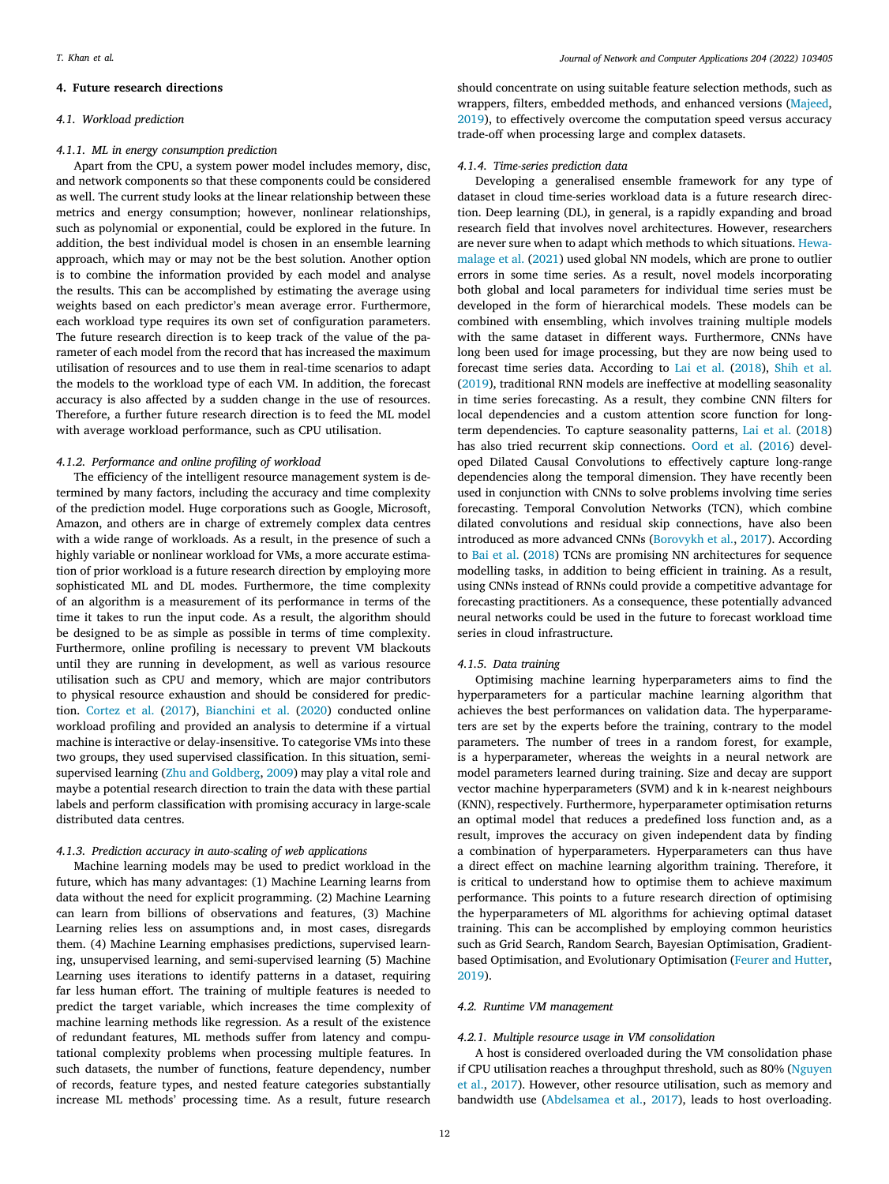# **4. Future research directions**

# <span id="page-11-0"></span>*4.1. Workload prediction*

# *4.1.1. ML in energy consumption prediction*

Apart from the CPU, a system power model includes memory, disc, and network components so that these components could be considered as well. The current study looks at the linear relationship between these metrics and energy consumption; however, nonlinear relationships, such as polynomial or exponential, could be explored in the future. In addition, the best individual model is chosen in an ensemble learning approach, which may or may not be the best solution. Another option is to combine the information provided by each model and analyse the results. This can be accomplished by estimating the average using weights based on each predictor's mean average error. Furthermore, each workload type requires its own set of configuration parameters. The future research direction is to keep track of the value of the parameter of each model from the record that has increased the maximum utilisation of resources and to use them in real-time scenarios to adapt the models to the workload type of each VM. In addition, the forecast accuracy is also affected by a sudden change in the use of resources. Therefore, a further future research direction is to feed the ML model with average workload performance, such as CPU utilisation.

### *4.1.2. Performance and online profiling of workload*

The efficiency of the intelligent resource management system is determined by many factors, including the accuracy and time complexity of the prediction model. Huge corporations such as Google, Microsoft, Amazon, and others are in charge of extremely complex data centres with a wide range of workloads. As a result, in the presence of such a highly variable or nonlinear workload for VMs, a more accurate estimation of prior workload is a future research direction by employing more sophisticated ML and DL modes. Furthermore, the time complexity of an algorithm is a measurement of its performance in terms of the time it takes to run the input code. As a result, the algorithm should be designed to be as simple as possible in terms of time complexity. Furthermore, online profiling is necessary to prevent VM blackouts until they are running in development, as well as various resource utilisation such as CPU and memory, which are major contributors to physical resource exhaustion and should be considered for prediction. [Cortez et al.](#page-14-5) ([2017\)](#page-14-5), [Bianchini et al.](#page-14-1) [\(2020](#page-14-1)) conducted online workload profiling and provided an analysis to determine if a virtual machine is interactive or delay-insensitive. To categorise VMs into these two groups, they used supervised classification. In this situation, semisupervised learning [\(Zhu and Goldberg](#page-16-29), [2009\)](#page-16-29) may play a vital role and maybe a potential research direction to train the data with these partial labels and perform classification with promising accuracy in large-scale distributed data centres.

### *4.1.3. Prediction accuracy in auto-scaling of web applications*

Machine learning models may be used to predict workload in the future, which has many advantages: (1) Machine Learning learns from data without the need for explicit programming. (2) Machine Learning can learn from billions of observations and features, (3) Machine Learning relies less on assumptions and, in most cases, disregards them. (4) Machine Learning emphasises predictions, supervised learning, unsupervised learning, and semi-supervised learning (5) Machine Learning uses iterations to identify patterns in a dataset, requiring far less human effort. The training of multiple features is needed to predict the target variable, which increases the time complexity of machine learning methods like regression. As a result of the existence of redundant features, ML methods suffer from latency and computational complexity problems when processing multiple features. In such datasets, the number of functions, feature dependency, number of records, feature types, and nested feature categories substantially increase ML methods' processing time. As a result, future research

should concentrate on using suitable feature selection methods, such as wrappers, filters, embedded methods, and enhanced versions ([Majeed](#page-15-47), [2019\)](#page-15-47), to effectively overcome the computation speed versus accuracy trade-off when processing large and complex datasets.

# *4.1.4. Time-series prediction data*

Developing a generalised ensemble framework for any type of dataset in cloud time-series workload data is a future research direction. Deep learning (DL), in general, is a rapidly expanding and broad research field that involves novel architectures. However, researchers are never sure when to adapt which methods to which situations. [Hewa](#page-15-48)[malage et al.](#page-15-48) ([2021\)](#page-15-48) used global NN models, which are prone to outlier errors in some time series. As a result, novel models incorporating both global and local parameters for individual time series must be developed in the form of hierarchical models. These models can be combined with ensembling, which involves training multiple models with the same dataset in different ways. Furthermore, CNNs have long been used for image processing, but they are now being used to forecast time series data. According to [Lai et al.](#page-15-49) [\(2018](#page-15-49)), [Shih et al.](#page-16-30) ([2019\)](#page-16-30), traditional RNN models are ineffective at modelling seasonality in time series forecasting. As a result, they combine CNN filters for local dependencies and a custom attention score function for longterm dependencies. To capture seasonality patterns, [Lai et al.](#page-15-49) ([2018\)](#page-15-49) has also tried recurrent skip connections. [Oord et al.](#page-15-50) [\(2016](#page-15-50)) developed Dilated Causal Convolutions to effectively capture long-range dependencies along the temporal dimension. They have recently been used in conjunction with CNNs to solve problems involving time series forecasting. Temporal Convolution Networks (TCN), which combine dilated convolutions and residual skip connections, have also been introduced as more advanced CNNs ([Borovykh et al.,](#page-14-26) [2017](#page-14-26)). According to [Bai et al.](#page-14-27) ([2018\)](#page-14-27) TCNs are promising NN architectures for sequence modelling tasks, in addition to being efficient in training. As a result, using CNNs instead of RNNs could provide a competitive advantage for forecasting practitioners. As a consequence, these potentially advanced neural networks could be used in the future to forecast workload time series in cloud infrastructure.

# *4.1.5. Data training*

Optimising machine learning hyperparameters aims to find the hyperparameters for a particular machine learning algorithm that achieves the best performances on validation data. The hyperparameters are set by the experts before the training, contrary to the model parameters. The number of trees in a random forest, for example, is a hyperparameter, whereas the weights in a neural network are model parameters learned during training. Size and decay are support vector machine hyperparameters (SVM) and k in k-nearest neighbours (KNN), respectively. Furthermore, hyperparameter optimisation returns an optimal model that reduces a predefined loss function and, as a result, improves the accuracy on given independent data by finding a combination of hyperparameters. Hyperparameters can thus have a direct effect on machine learning algorithm training. Therefore, it is critical to understand how to optimise them to achieve maximum performance. This points to a future research direction of optimising the hyperparameters of ML algorithms for achieving optimal dataset training. This can be accomplished by employing common heuristics such as Grid Search, Random Search, Bayesian Optimisation, Gradientbased Optimisation, and Evolutionary Optimisation [\(Feurer and Hutter](#page-15-51), [2019\)](#page-15-51).

# *4.2. Runtime VM management*

### *4.2.1. Multiple resource usage in VM consolidation*

A host is considered overloaded during the VM consolidation phase if CPU utilisation reaches a throughput threshold, such as 80% ([Nguyen](#page-15-43) [et al.](#page-15-43), [2017\)](#page-15-43). However, other resource utilisation, such as memory and bandwidth use [\(Abdelsamea et al.,](#page-14-28) [2017\)](#page-14-28), leads to host overloading.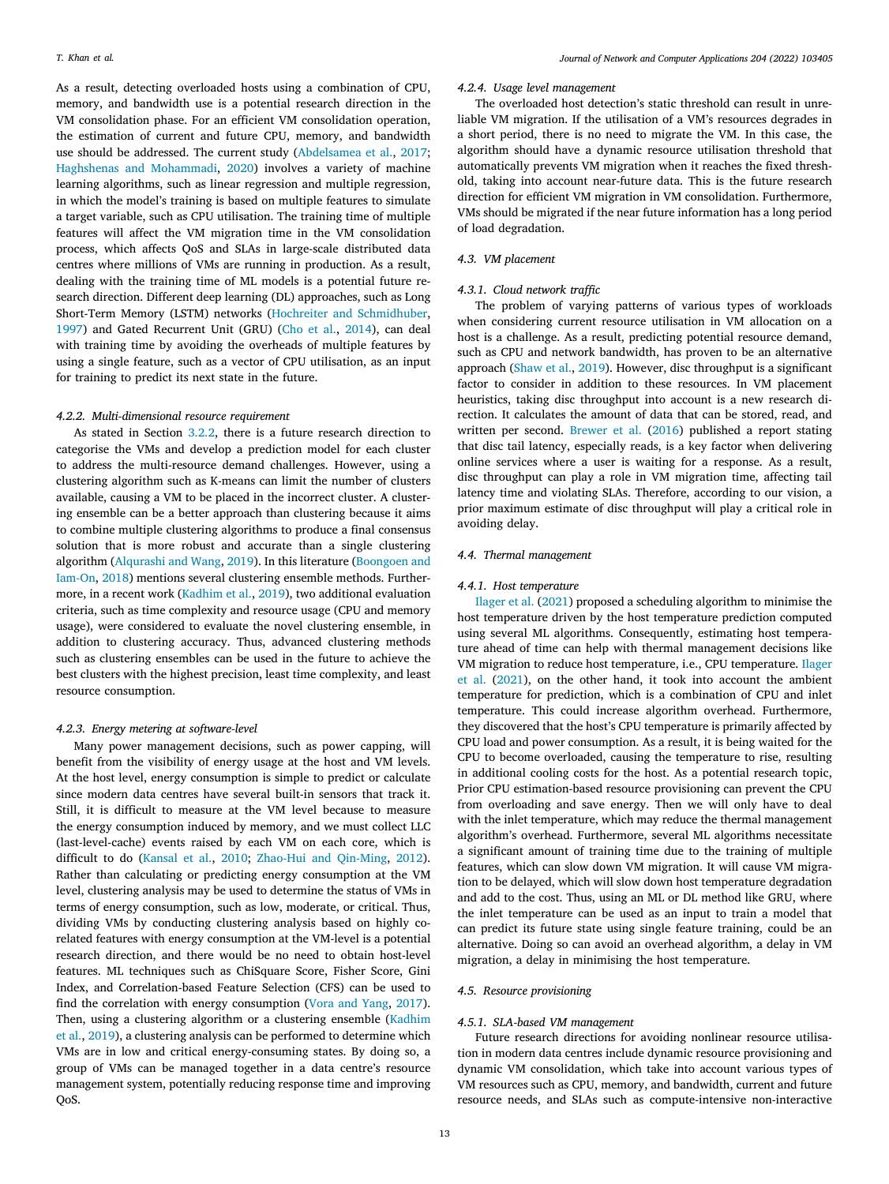As a result, detecting overloaded hosts using a combination of CPU, memory, and bandwidth use is a potential research direction in the VM consolidation phase. For an efficient VM consolidation operation, the estimation of current and future CPU, memory, and bandwidth use should be addressed. The current study ([Abdelsamea et al.](#page-14-28), [2017](#page-14-28); [Haghshenas and Mohammadi,](#page-15-39) [2020\)](#page-15-39) involves a variety of machine learning algorithms, such as linear regression and multiple regression, in which the model's training is based on multiple features to simulate a target variable, such as CPU utilisation. The training time of multiple features will affect the VM migration time in the VM consolidation process, which affects QoS and SLAs in large-scale distributed data centres where millions of VMs are running in production. As a result, dealing with the training time of ML models is a potential future research direction. Different deep learning (DL) approaches, such as Long Short-Term Memory (LSTM) networks ([Hochreiter and Schmidhuber](#page-15-52), [1997\)](#page-15-52) and Gated Recurrent Unit (GRU) [\(Cho et al.](#page-14-29), [2014](#page-14-29)), can deal with training time by avoiding the overheads of multiple features by using a single feature, such as a vector of CPU utilisation, as an input for training to predict its next state in the future.

### *4.2.2. Multi-dimensional resource requirement*

As stated in Section [3.2.2,](#page-6-0) there is a future research direction to categorise the VMs and develop a prediction model for each cluster to address the multi-resource demand challenges. However, using a clustering algorithm such as K-means can limit the number of clusters available, causing a VM to be placed in the incorrect cluster. A clustering ensemble can be a better approach than clustering because it aims to combine multiple clustering algorithms to produce a final consensus solution that is more robust and accurate than a single clustering algorithm ([Alqurashi and Wang,](#page-14-30) [2019\)](#page-14-30). In this literature ([Boongoen and](#page-14-31) [Iam-On,](#page-14-31) [2018](#page-14-31)) mentions several clustering ensemble methods. Furthermore, in a recent work ([Kadhim et al.,](#page-15-53) [2019\)](#page-15-53), two additional evaluation criteria, such as time complexity and resource usage (CPU and memory usage), were considered to evaluate the novel clustering ensemble, in addition to clustering accuracy. Thus, advanced clustering methods such as clustering ensembles can be used in the future to achieve the best clusters with the highest precision, least time complexity, and least resource consumption.

### *4.2.3. Energy metering at software-level*

Many power management decisions, such as power capping, will benefit from the visibility of energy usage at the host and VM levels. At the host level, energy consumption is simple to predict or calculate since modern data centres have several built-in sensors that track it. Still, it is difficult to measure at the VM level because to measure the energy consumption induced by memory, and we must collect LLC (last-level-cache) events raised by each VM on each core, which is difficult to do ([Kansal et al.,](#page-15-54) [2010;](#page-15-54) [Zhao-Hui and Qin-Ming](#page-16-31), [2012](#page-16-31)). Rather than calculating or predicting energy consumption at the VM level, clustering analysis may be used to determine the status of VMs in terms of energy consumption, such as low, moderate, or critical. Thus, dividing VMs by conducting clustering analysis based on highly corelated features with energy consumption at the VM-level is a potential research direction, and there would be no need to obtain host-level features. ML techniques such as ChiSquare Score, Fisher Score, Gini Index, and Correlation-based Feature Selection (CFS) can be used to find the correlation with energy consumption ([Vora and Yang](#page-16-32), [2017](#page-16-32)). Then, using a clustering algorithm or a clustering ensemble [\(Kadhim](#page-15-53) [et al.,](#page-15-53) [2019](#page-15-53)), a clustering analysis can be performed to determine which VMs are in low and critical energy-consuming states. By doing so, a group of VMs can be managed together in a data centre's resource management system, potentially reducing response time and improving QoS.

# *4.2.4. Usage level management*

The overloaded host detection's static threshold can result in unreliable VM migration. If the utilisation of a VM's resources degrades in a short period, there is no need to migrate the VM. In this case, the algorithm should have a dynamic resource utilisation threshold that automatically prevents VM migration when it reaches the fixed threshold, taking into account near-future data. This is the future research direction for efficient VM migration in VM consolidation. Furthermore, VMs should be migrated if the near future information has a long period of load degradation.

# *4.3. VM placement*

### *4.3.1. Cloud network traffic*

The problem of varying patterns of various types of workloads when considering current resource utilisation in VM allocation on a host is a challenge. As a result, predicting potential resource demand, such as CPU and network bandwidth, has proven to be an alternative approach ([Shaw et al.](#page-16-26), [2019\)](#page-16-26). However, disc throughput is a significant factor to consider in addition to these resources. In VM placement heuristics, taking disc throughput into account is a new research direction. It calculates the amount of data that can be stored, read, and written per second. [Brewer et al.](#page-14-24) [\(2016\)](#page-14-24) published a report stating that disc tail latency, especially reads, is a key factor when delivering online services where a user is waiting for a response. As a result, disc throughput can play a role in VM migration time, affecting tail latency time and violating SLAs. Therefore, according to our vision, a prior maximum estimate of disc throughput will play a critical role in avoiding delay.

### *4.4. Thermal management*

### *4.4.1. Host temperature*

[Ilager et al.](#page-15-44) [\(2021](#page-15-44)) proposed a scheduling algorithm to minimise the host temperature driven by the host temperature prediction computed using several ML algorithms. Consequently, estimating host temperature ahead of time can help with thermal management decisions like VM migration to reduce host temperature, i.e., CPU temperature. [Ilager](#page-15-44) [et al.](#page-15-44) ([2021\)](#page-15-44), on the other hand, it took into account the ambient temperature for prediction, which is a combination of CPU and inlet temperature. This could increase algorithm overhead. Furthermore, they discovered that the host's CPU temperature is primarily affected by CPU load and power consumption. As a result, it is being waited for the CPU to become overloaded, causing the temperature to rise, resulting in additional cooling costs for the host. As a potential research topic, Prior CPU estimation-based resource provisioning can prevent the CPU from overloading and save energy. Then we will only have to deal with the inlet temperature, which may reduce the thermal management algorithm's overhead. Furthermore, several ML algorithms necessitate a significant amount of training time due to the training of multiple features, which can slow down VM migration. It will cause VM migration to be delayed, which will slow down host temperature degradation and add to the cost. Thus, using an ML or DL method like GRU, where the inlet temperature can be used as an input to train a model that can predict its future state using single feature training, could be an alternative. Doing so can avoid an overhead algorithm, a delay in VM migration, a delay in minimising the host temperature.

### *4.5. Resource provisioning*

# *4.5.1. SLA-based VM management*

Future research directions for avoiding nonlinear resource utilisation in modern data centres include dynamic resource provisioning and dynamic VM consolidation, which take into account various types of VM resources such as CPU, memory, and bandwidth, current and future resource needs, and SLAs such as compute-intensive non-interactive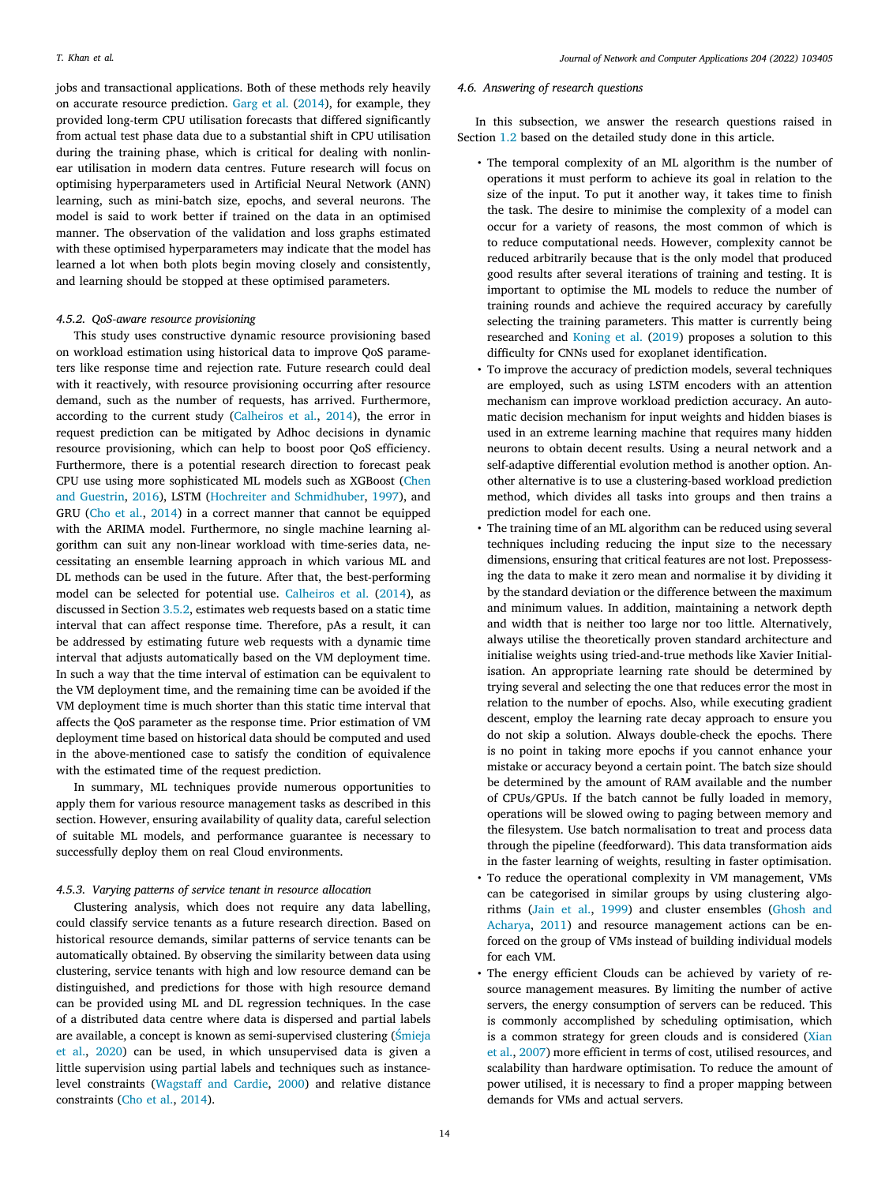jobs and transactional applications. Both of these methods rely heavily on accurate resource prediction. [Garg et al.](#page-15-41) ([2014\)](#page-15-41), for example, they provided long-term CPU utilisation forecasts that differed significantly from actual test phase data due to a substantial shift in CPU utilisation during the training phase, which is critical for dealing with nonlinear utilisation in modern data centres. Future research will focus on optimising hyperparameters used in Artificial Neural Network (ANN) learning, such as mini-batch size, epochs, and several neurons. The model is said to work better if trained on the data in an optimised manner. The observation of the validation and loss graphs estimated with these optimised hyperparameters may indicate that the model has learned a lot when both plots begin moving closely and consistently, and learning should be stopped at these optimised parameters.

# *4.5.2. QoS-aware resource provisioning*

This study uses constructive dynamic resource provisioning based on workload estimation using historical data to improve QoS parameters like response time and rejection rate. Future research could deal with it reactively, with resource provisioning occurring after resource demand, such as the number of requests, has arrived. Furthermore, according to the current study ([Calheiros et al.,](#page-14-20) [2014](#page-14-20)), the error in request prediction can be mitigated by Adhoc decisions in dynamic resource provisioning, which can help to boost poor QoS efficiency. Furthermore, there is a potential research direction to forecast peak CPU use using more sophisticated ML models such as XGBoost ([Chen](#page-14-32) [and Guestrin,](#page-14-32) [2016\)](#page-14-32), LSTM ([Hochreiter and Schmidhuber](#page-15-52), [1997](#page-15-52)), and GRU [\(Cho et al.,](#page-14-29) [2014\)](#page-14-29) in a correct manner that cannot be equipped with the ARIMA model. Furthermore, no single machine learning algorithm can suit any non-linear workload with time-series data, necessitating an ensemble learning approach in which various ML and DL methods can be used in the future. After that, the best-performing model can be selected for potential use. [Calheiros et al.](#page-14-20) [\(2014](#page-14-20)), as discussed in Section [3.5.2](#page-10-0), estimates web requests based on a static time interval that can affect response time. Therefore, pAs a result, it can be addressed by estimating future web requests with a dynamic time interval that adjusts automatically based on the VM deployment time. In such a way that the time interval of estimation can be equivalent to the VM deployment time, and the remaining time can be avoided if the VM deployment time is much shorter than this static time interval that affects the QoS parameter as the response time. Prior estimation of VM deployment time based on historical data should be computed and used in the above-mentioned case to satisfy the condition of equivalence with the estimated time of the request prediction.

In summary, ML techniques provide numerous opportunities to apply them for various resource management tasks as described in this section. However, ensuring availability of quality data, careful selection of suitable ML models, and performance guarantee is necessary to successfully deploy them on real Cloud environments.

### *4.5.3. Varying patterns of service tenant in resource allocation*

Clustering analysis, which does not require any data labelling, could classify service tenants as a future research direction. Based on historical resource demands, similar patterns of service tenants can be automatically obtained. By observing the similarity between data using clustering, service tenants with high and low resource demand can be distinguished, and predictions for those with high resource demand can be provided using ML and DL regression techniques. In the case of a distributed data centre where data is dispersed and partial labels are available, a concept is known as semi-supervised clustering ([Śmieja](#page-16-33) [et al.](#page-16-33), [2020](#page-16-33)) can be used, in which unsupervised data is given a little supervision using partial labels and techniques such as instancelevel constraints [\(Wagstaff and Cardie,](#page-16-34) [2000\)](#page-16-34) and relative distance constraints ([Cho et al.](#page-14-29), [2014\)](#page-14-29).

# *4.6. Answering of research questions*

In this subsection, we answer the research questions raised in Section [1.2](#page-2-2) based on the detailed study done in this article.

- The temporal complexity of an ML algorithm is the number of operations it must perform to achieve its goal in relation to the size of the input. To put it another way, it takes time to finish the task. The desire to minimise the complexity of a model can occur for a variety of reasons, the most common of which is to reduce computational needs. However, complexity cannot be reduced arbitrarily because that is the only model that produced good results after several iterations of training and testing. It is important to optimise the ML models to reduce the number of training rounds and achieve the required accuracy by carefully selecting the training parameters. This matter is currently being researched and [Koning et al.](#page-15-55) [\(2019](#page-15-55)) proposes a solution to this difficulty for CNNs used for exoplanet identification.
- To improve the accuracy of prediction models, several techniques are employed, such as using LSTM encoders with an attention mechanism can improve workload prediction accuracy. An automatic decision mechanism for input weights and hidden biases is used in an extreme learning machine that requires many hidden neurons to obtain decent results. Using a neural network and a self-adaptive differential evolution method is another option. Another alternative is to use a clustering-based workload prediction method, which divides all tasks into groups and then trains a prediction model for each one.
- The training time of an ML algorithm can be reduced using several techniques including reducing the input size to the necessary dimensions, ensuring that critical features are not lost. Prepossessing the data to make it zero mean and normalise it by dividing it by the standard deviation or the difference between the maximum and minimum values. In addition, maintaining a network depth and width that is neither too large nor too little. Alternatively, always utilise the theoretically proven standard architecture and initialise weights using tried-and-true methods like Xavier Initialisation. An appropriate learning rate should be determined by trying several and selecting the one that reduces error the most in relation to the number of epochs. Also, while executing gradient descent, employ the learning rate decay approach to ensure you do not skip a solution. Always double-check the epochs. There is no point in taking more epochs if you cannot enhance your mistake or accuracy beyond a certain point. The batch size should be determined by the amount of RAM available and the number of CPUs/GPUs. If the batch cannot be fully loaded in memory, operations will be slowed owing to paging between memory and the filesystem. Use batch normalisation to treat and process data through the pipeline (feedforward). This data transformation aids in the faster learning of weights, resulting in faster optimisation.
- To reduce the operational complexity in VM management, VMs can be categorised in similar groups by using clustering algorithms ([Jain et al.](#page-15-56), [1999\)](#page-15-56) and cluster ensembles ([Ghosh and](#page-15-57) [Acharya,](#page-15-57) [2011](#page-15-57)) and resource management actions can be enforced on the group of VMs instead of building individual models for each VM.
- The energy efficient Clouds can be achieved by variety of resource management measures. By limiting the number of active servers, the energy consumption of servers can be reduced. This is commonly accomplished by scheduling optimisation, which is a common strategy for green clouds and is considered ([Xian](#page-16-35) [et al.,](#page-16-35) [2007\)](#page-16-35) more efficient in terms of cost, utilised resources, and scalability than hardware optimisation. To reduce the amount of power utilised, it is necessary to find a proper mapping between demands for VMs and actual servers.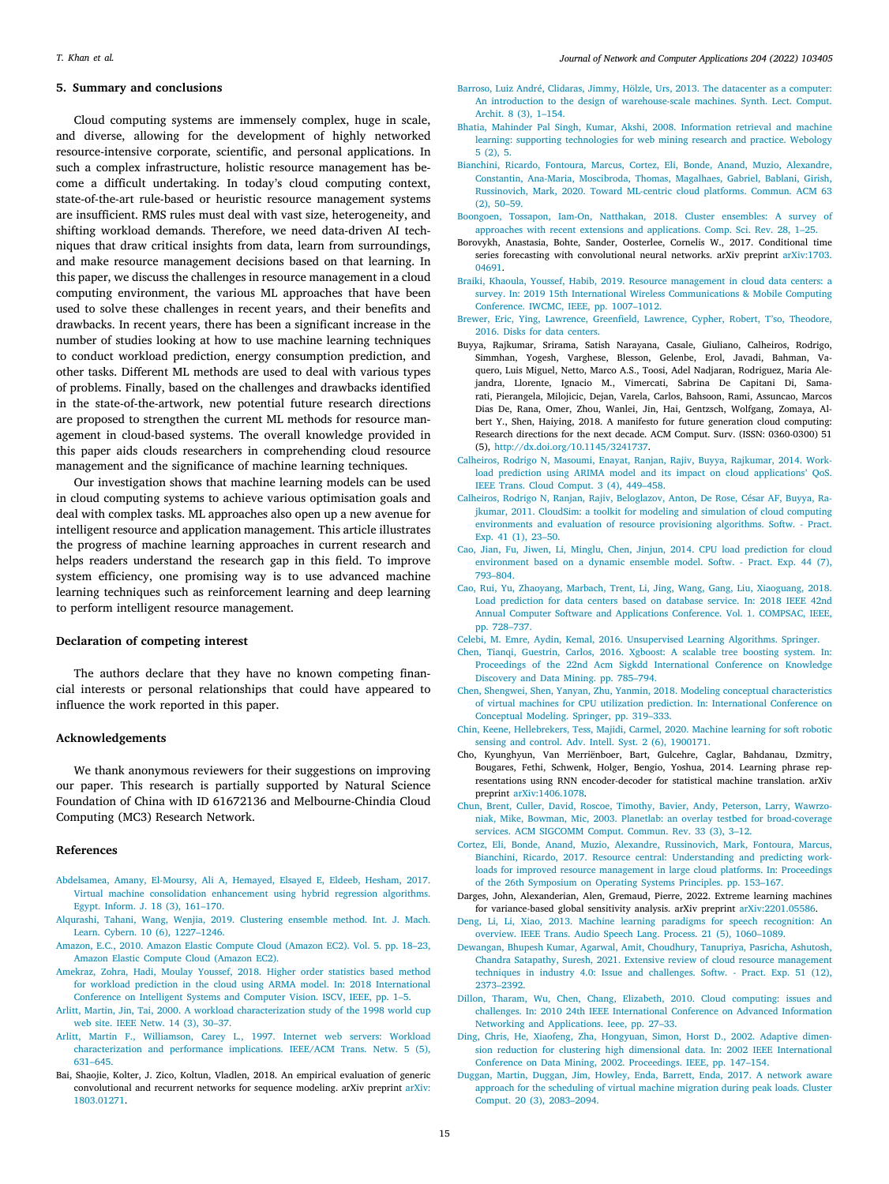### **5. Summary and conclusions**

<span id="page-14-8"></span>Cloud computing systems are immensely complex, huge in scale, and diverse, allowing for the development of highly networked resource-intensive corporate, scientific, and personal applications. In such a complex infrastructure, holistic resource management has become a difficult undertaking. In today's cloud computing context, state-of-the-art rule-based or heuristic resource management systems are insufficient. RMS rules must deal with vast size, heterogeneity, and shifting workload demands. Therefore, we need data-driven AI techniques that draw critical insights from data, learn from surroundings, and make resource management decisions based on that learning. In this paper, we discuss the challenges in resource management in a cloud computing environment, the various ML approaches that have been used to solve these challenges in recent years, and their benefits and drawbacks. In recent years, there has been a significant increase in the number of studies looking at how to use machine learning techniques to conduct workload prediction, energy consumption prediction, and other tasks. Different ML methods are used to deal with various types of problems. Finally, based on the challenges and drawbacks identified in the state-of-the-artwork, new potential future research directions are proposed to strengthen the current ML methods for resource management in cloud-based systems. The overall knowledge provided in this paper aids clouds researchers in comprehending cloud resource management and the significance of machine learning techniques.

Our investigation shows that machine learning models can be used in cloud computing systems to achieve various optimisation goals and deal with complex tasks. ML approaches also open up a new avenue for intelligent resource and application management. This article illustrates the progress of machine learning approaches in current research and helps readers understand the research gap in this field. To improve system efficiency, one promising way is to use advanced machine learning techniques such as reinforcement learning and deep learning to perform intelligent resource management.

### **Declaration of competing interest**

The authors declare that they have no known competing financial interests or personal relationships that could have appeared to influence the work reported in this paper.

# **Acknowledgements**

We thank anonymous reviewers for their suggestions on improving our paper. This research is partially supported by Natural Science Foundation of China with ID 61672136 and Melbourne-Chindia Cloud Computing (MC3) Research Network.

#### **References**

- <span id="page-14-28"></span>[Abdelsamea, Amany, El-Moursy, Ali A, Hemayed, Elsayed E, Eldeeb, Hesham, 2017.](http://refhub.elsevier.com/S1084-8045(22)00064-9/sb1) [Virtual machine consolidation enhancement using hybrid regression algorithms.](http://refhub.elsevier.com/S1084-8045(22)00064-9/sb1) [Egypt. Inform. J. 18 \(3\), 161–170.](http://refhub.elsevier.com/S1084-8045(22)00064-9/sb1)
- <span id="page-14-30"></span>[Alqurashi, Tahani, Wang, Wenjia, 2019. Clustering ensemble method. Int. J. Mach.](http://refhub.elsevier.com/S1084-8045(22)00064-9/sb2) [Learn. Cybern. 10 \(6\), 1227–1246.](http://refhub.elsevier.com/S1084-8045(22)00064-9/sb2)
- <span id="page-14-9"></span>[Amazon, E.C., 2010. Amazon Elastic Compute Cloud \(Amazon EC2\). Vol. 5. pp. 18–23,](http://refhub.elsevier.com/S1084-8045(22)00064-9/sb3) [Amazon Elastic Compute Cloud \(Amazon EC2\).](http://refhub.elsevier.com/S1084-8045(22)00064-9/sb3)
- <span id="page-14-25"></span>[Amekraz, Zohra, Hadi, Moulay Youssef, 2018. Higher order statistics based method](http://refhub.elsevier.com/S1084-8045(22)00064-9/sb4) [for workload prediction in the cloud using ARMA model. In: 2018 International](http://refhub.elsevier.com/S1084-8045(22)00064-9/sb4) [Conference on Intelligent Systems and Computer Vision. ISCV, IEEE, pp. 1–5.](http://refhub.elsevier.com/S1084-8045(22)00064-9/sb4)
- <span id="page-14-21"></span>[Arlitt, Martin, Jin, Tai, 2000. A workload characterization study of the 1998 world cup](http://refhub.elsevier.com/S1084-8045(22)00064-9/sb5) [web site. IEEE Netw. 14 \(3\), 30–37.](http://refhub.elsevier.com/S1084-8045(22)00064-9/sb5)
- <span id="page-14-22"></span>[Arlitt, Martin F., Williamson, Carey L., 1997. Internet web servers: Workload](http://refhub.elsevier.com/S1084-8045(22)00064-9/sb6) [characterization and performance implications. IEEE/ACM Trans. Netw. 5 \(5\),](http://refhub.elsevier.com/S1084-8045(22)00064-9/sb6) [631–645.](http://refhub.elsevier.com/S1084-8045(22)00064-9/sb6)
- <span id="page-14-27"></span>Bai, Shaojie, Kolter, J. Zico, Koltun, Vladlen, 2018. An empirical evaluation of generic convolutional and recurrent networks for sequence modeling. arXiv preprint [arXiv:](http://arxiv.org/abs/1803.01271) [1803.01271.](http://arxiv.org/abs/1803.01271)
- <span id="page-14-2"></span>[Barroso, Luiz André, Clidaras, Jimmy, Hölzle, Urs, 2013. The datacenter as a computer:](http://refhub.elsevier.com/S1084-8045(22)00064-9/sb8) [An introduction to the design of warehouse-scale machines. Synth. Lect. Comput.](http://refhub.elsevier.com/S1084-8045(22)00064-9/sb8) [Archit. 8 \(3\), 1–154.](http://refhub.elsevier.com/S1084-8045(22)00064-9/sb8)
- <span id="page-14-13"></span>[Bhatia, Mahinder Pal Singh, Kumar, Akshi, 2008. Information retrieval and machine](http://refhub.elsevier.com/S1084-8045(22)00064-9/sb9) [learning: supporting technologies for web mining research and practice. Webology](http://refhub.elsevier.com/S1084-8045(22)00064-9/sb9) [5 \(2\), 5.](http://refhub.elsevier.com/S1084-8045(22)00064-9/sb9)
- <span id="page-14-1"></span>[Bianchini, Ricardo, Fontoura, Marcus, Cortez, Eli, Bonde, Anand, Muzio, Alexandre,](http://refhub.elsevier.com/S1084-8045(22)00064-9/sb10) [Constantin, Ana-Maria, Moscibroda, Thomas, Magalhaes, Gabriel, Bablani, Girish,](http://refhub.elsevier.com/S1084-8045(22)00064-9/sb10) [Russinovich, Mark, 2020. Toward ML-centric cloud platforms. Commun. ACM 63](http://refhub.elsevier.com/S1084-8045(22)00064-9/sb10)  $(2)$ , 50–59.
- <span id="page-14-31"></span>[Boongoen, Tossapon, Iam-On, Natthakan, 2018. Cluster ensembles: A survey of](http://refhub.elsevier.com/S1084-8045(22)00064-9/sb11) [approaches with recent extensions and applications. Comp. Sci. Rev. 28, 1–25.](http://refhub.elsevier.com/S1084-8045(22)00064-9/sb11)
- <span id="page-14-26"></span>Borovykh, Anastasia, Bohte, Sander, Oosterlee, Cornelis W., 2017. Conditional time series forecasting with convolutional neural networks. arXiv preprint [arXiv:1703.](http://arxiv.org/abs/1703.04691) [04691.](http://arxiv.org/abs/1703.04691)
- <span id="page-14-6"></span>[Braiki, Khaoula, Youssef, Habib, 2019. Resource management in cloud data centers: a](http://refhub.elsevier.com/S1084-8045(22)00064-9/sb13) [survey. In: 2019 15th International Wireless Communications & Mobile Computing](http://refhub.elsevier.com/S1084-8045(22)00064-9/sb13) [Conference. IWCMC, IEEE, pp. 1007–1012.](http://refhub.elsevier.com/S1084-8045(22)00064-9/sb13)
- <span id="page-14-24"></span>[Brewer, Eric, Ying, Lawrence, Greenfield, Lawrence, Cypher, Robert, T'so, Theodore,](http://refhub.elsevier.com/S1084-8045(22)00064-9/sb14) [2016. Disks for data centers.](http://refhub.elsevier.com/S1084-8045(22)00064-9/sb14)
- <span id="page-14-0"></span>Buyya, Rajkumar, Srirama, Satish Narayana, Casale, Giuliano, Calheiros, Rodrigo, Simmhan, Yogesh, Varghese, Blesson, Gelenbe, Erol, Javadi, Bahman, Vaquero, Luis Miguel, Netto, Marco A.S., Toosi, Adel Nadjaran, Rodriguez, Maria Alejandra, Llorente, Ignacio M., Vimercati, Sabrina De Capitani Di, Samarati, Pierangela, Milojicic, Dejan, Varela, Carlos, Bahsoon, Rami, Assuncao, Marcos Dias De, Rana, Omer, Zhou, Wanlei, Jin, Hai, Gentzsch, Wolfgang, Zomaya, Albert Y., Shen, Haiying, 2018. A manifesto for future generation cloud computing: Research directions for the next decade. ACM Comput. Surv. (ISSN: 0360-0300) 51 (5), <http://dx.doi.org/10.1145/3241737>.
- <span id="page-14-20"></span>[Calheiros, Rodrigo N, Masoumi, Enayat, Ranjan, Rajiv, Buyya, Rajkumar, 2014. Work](http://refhub.elsevier.com/S1084-8045(22)00064-9/sb16)[load prediction using ARIMA model and its impact on cloud applications' QoS.](http://refhub.elsevier.com/S1084-8045(22)00064-9/sb16) [IEEE Trans. Cloud Comput. 3 \(4\), 449–458.](http://refhub.elsevier.com/S1084-8045(22)00064-9/sb16)
- <span id="page-14-18"></span>[Calheiros, Rodrigo N, Ranjan, Rajiv, Beloglazov, Anton, De Rose, César AF, Buyya, Ra](http://refhub.elsevier.com/S1084-8045(22)00064-9/sb17)[jkumar, 2011. CloudSim: a toolkit for modeling and simulation of cloud computing](http://refhub.elsevier.com/S1084-8045(22)00064-9/sb17) [environments and evaluation of resource provisioning algorithms. Softw. - Pract.](http://refhub.elsevier.com/S1084-8045(22)00064-9/sb17) [Exp. 41 \(1\), 23–50.](http://refhub.elsevier.com/S1084-8045(22)00064-9/sb17)
- <span id="page-14-16"></span>[Cao, Jian, Fu, Jiwen, Li, Minglu, Chen, Jinjun, 2014. CPU load prediction for cloud](http://refhub.elsevier.com/S1084-8045(22)00064-9/sb18) [environment based on a dynamic ensemble model. Softw. - Pract. Exp. 44 \(7\),](http://refhub.elsevier.com/S1084-8045(22)00064-9/sb18) [793–804.](http://refhub.elsevier.com/S1084-8045(22)00064-9/sb18)
- <span id="page-14-3"></span>[Cao, Rui, Yu, Zhaoyang, Marbach, Trent, Li, Jing, Wang, Gang, Liu, Xiaoguang, 2018.](http://refhub.elsevier.com/S1084-8045(22)00064-9/sb19) [Load prediction for data centers based on database service. In: 2018 IEEE 42nd](http://refhub.elsevier.com/S1084-8045(22)00064-9/sb19) [Annual Computer Software and Applications Conference. Vol. 1. COMPSAC, IEEE,](http://refhub.elsevier.com/S1084-8045(22)00064-9/sb19) [pp. 728–737.](http://refhub.elsevier.com/S1084-8045(22)00064-9/sb19)
- <span id="page-14-15"></span>[Celebi, M. Emre, Aydin, Kemal, 2016. Unsupervised Learning Algorithms. Springer.](http://refhub.elsevier.com/S1084-8045(22)00064-9/sb20)
- <span id="page-14-32"></span>[Chen, Tianqi, Guestrin, Carlos, 2016. Xgboost: A scalable tree boosting system. In:](http://refhub.elsevier.com/S1084-8045(22)00064-9/sb21) [Proceedings of the 22nd Acm Sigkdd International Conference on Knowledge](http://refhub.elsevier.com/S1084-8045(22)00064-9/sb21) [Discovery and Data Mining. pp. 785–794.](http://refhub.elsevier.com/S1084-8045(22)00064-9/sb21)
- <span id="page-14-4"></span>[Chen, Shengwei, Shen, Yanyan, Zhu, Yanmin, 2018. Modeling conceptual characteristics](http://refhub.elsevier.com/S1084-8045(22)00064-9/sb22) [of virtual machines for CPU utilization prediction. In: International Conference on](http://refhub.elsevier.com/S1084-8045(22)00064-9/sb22) [Conceptual Modeling. Springer, pp. 319–333.](http://refhub.elsevier.com/S1084-8045(22)00064-9/sb22)
- <span id="page-14-12"></span>[Chin, Keene, Hellebrekers, Tess, Majidi, Carmel, 2020. Machine learning for soft robotic](http://refhub.elsevier.com/S1084-8045(22)00064-9/sb23) [sensing and control. Adv. Intell. Syst. 2 \(6\), 1900171.](http://refhub.elsevier.com/S1084-8045(22)00064-9/sb23)
- <span id="page-14-29"></span>Cho, Kyunghyun, Van Merriënboer, Bart, Gulcehre, Caglar, Bahdanau, Dzmitry, Bougares, Fethi, Schwenk, Holger, Bengio, Yoshua, 2014. Learning phrase representations using RNN encoder-decoder for statistical machine translation. arXiv preprint [arXiv:1406.1078.](http://arxiv.org/abs/1406.1078)
- <span id="page-14-17"></span>[Chun, Brent, Culler, David, Roscoe, Timothy, Bavier, Andy, Peterson, Larry, Wawrzo](http://refhub.elsevier.com/S1084-8045(22)00064-9/sb25)[niak, Mike, Bowman, Mic, 2003. Planetlab: an overlay testbed for broad-coverage](http://refhub.elsevier.com/S1084-8045(22)00064-9/sb25) [services. ACM SIGCOMM Comput. Commun. Rev. 33 \(3\), 3–12.](http://refhub.elsevier.com/S1084-8045(22)00064-9/sb25)
- <span id="page-14-5"></span>[Cortez, Eli, Bonde, Anand, Muzio, Alexandre, Russinovich, Mark, Fontoura, Marcus,](http://refhub.elsevier.com/S1084-8045(22)00064-9/sb26) [Bianchini, Ricardo, 2017. Resource central: Understanding and predicting work](http://refhub.elsevier.com/S1084-8045(22)00064-9/sb26)[loads for improved resource management in large cloud platforms. In: Proceedings](http://refhub.elsevier.com/S1084-8045(22)00064-9/sb26) [of the 26th Symposium on Operating Systems Principles. pp. 153–167.](http://refhub.elsevier.com/S1084-8045(22)00064-9/sb26)
- <span id="page-14-19"></span>Darges, John, Alexanderian, Alen, Gremaud, Pierre, 2022. Extreme learning machines for variance-based global sensitivity analysis. arXiv preprint [arXiv:2201.05586.](http://arxiv.org/abs/2201.05586)
- <span id="page-14-11"></span>[Deng, Li, Li, Xiao, 2013. Machine learning paradigms for speech recognition: An](http://refhub.elsevier.com/S1084-8045(22)00064-9/sb28) [overview. IEEE Trans. Audio Speech Lang. Process. 21 \(5\), 1060–1089.](http://refhub.elsevier.com/S1084-8045(22)00064-9/sb28)
- <span id="page-14-7"></span>[Dewangan, Bhupesh Kumar, Agarwal, Amit, Choudhury, Tanupriya, Pasricha, Ashutosh,](http://refhub.elsevier.com/S1084-8045(22)00064-9/sb29) [Chandra Satapathy, Suresh, 2021. Extensive review of cloud resource management](http://refhub.elsevier.com/S1084-8045(22)00064-9/sb29) [techniques in industry 4.0: Issue and challenges. Softw. - Pract. Exp. 51 \(12\),](http://refhub.elsevier.com/S1084-8045(22)00064-9/sb29) [2373–2392.](http://refhub.elsevier.com/S1084-8045(22)00064-9/sb29)
- <span id="page-14-10"></span>[Dillon, Tharam, Wu, Chen, Chang, Elizabeth, 2010. Cloud computing: issues and](http://refhub.elsevier.com/S1084-8045(22)00064-9/sb30) [challenges. In: 2010 24th IEEE International Conference on Advanced Information](http://refhub.elsevier.com/S1084-8045(22)00064-9/sb30) [Networking and Applications. Ieee, pp. 27–33.](http://refhub.elsevier.com/S1084-8045(22)00064-9/sb30)
- <span id="page-14-14"></span>[Ding, Chris, He, Xiaofeng, Zha, Hongyuan, Simon, Horst D., 2002. Adaptive dimen](http://refhub.elsevier.com/S1084-8045(22)00064-9/sb31)[sion reduction for clustering high dimensional data. In: 2002 IEEE International](http://refhub.elsevier.com/S1084-8045(22)00064-9/sb31) [Conference on Data Mining, 2002. Proceedings. IEEE, pp. 147–154.](http://refhub.elsevier.com/S1084-8045(22)00064-9/sb31)
- <span id="page-14-23"></span>[Duggan, Martin, Duggan, Jim, Howley, Enda, Barrett, Enda, 2017. A network aware](http://refhub.elsevier.com/S1084-8045(22)00064-9/sb32) [approach for the scheduling of virtual machine migration during peak loads. Cluster](http://refhub.elsevier.com/S1084-8045(22)00064-9/sb32) [Comput. 20 \(3\), 2083–2094.](http://refhub.elsevier.com/S1084-8045(22)00064-9/sb32)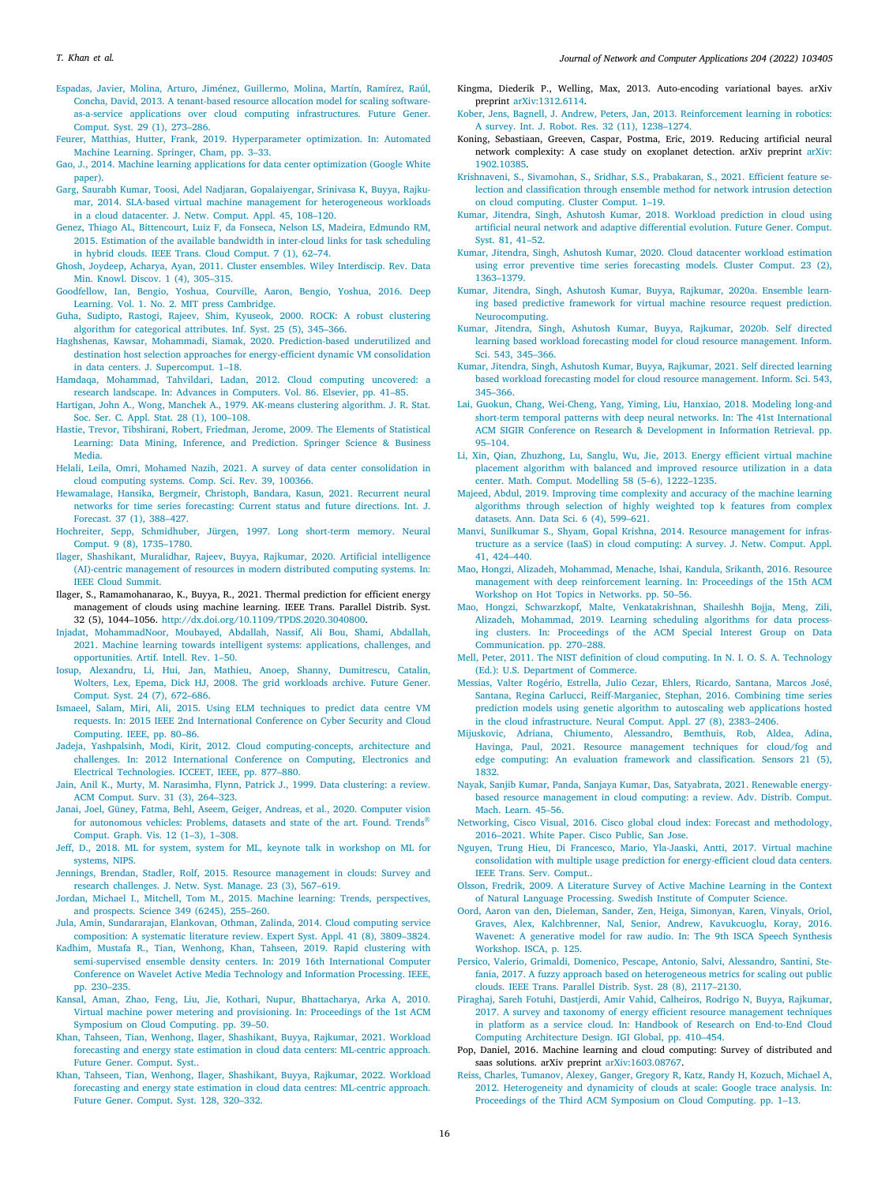#### *T. Khan et al.*

- <span id="page-15-22"></span>[Espadas, Javier, Molina, Arturo, Jiménez, Guillermo, Molina, Martín, Ramírez, Raúl,](http://refhub.elsevier.com/S1084-8045(22)00064-9/sb33) [Concha, David, 2013. A tenant-based resource allocation model for scaling software](http://refhub.elsevier.com/S1084-8045(22)00064-9/sb33)[as-a-service applications over cloud computing infrastructures. Future Gener.](http://refhub.elsevier.com/S1084-8045(22)00064-9/sb33) [Comput. Syst. 29 \(1\), 273–286.](http://refhub.elsevier.com/S1084-8045(22)00064-9/sb33)
- <span id="page-15-51"></span>[Feurer, Matthias, Hutter, Frank, 2019. Hyperparameter optimization. In: Automated](http://refhub.elsevier.com/S1084-8045(22)00064-9/sb34) [Machine Learning. Springer, Cham, pp. 3–33.](http://refhub.elsevier.com/S1084-8045(22)00064-9/sb34)
- <span id="page-15-13"></span>[Gao, J., 2014. Machine learning applications for data center optimization \(Google White](http://refhub.elsevier.com/S1084-8045(22)00064-9/sb35) [paper\).](http://refhub.elsevier.com/S1084-8045(22)00064-9/sb35)
- <span id="page-15-41"></span>[Garg, Saurabh Kumar, Toosi, Adel Nadjaran, Gopalaiyengar, Srinivasa K, Buyya, Rajku](http://refhub.elsevier.com/S1084-8045(22)00064-9/sb36)[mar, 2014. SLA-based virtual machine management for heterogeneous workloads](http://refhub.elsevier.com/S1084-8045(22)00064-9/sb36) [in a cloud datacenter. J. Netw. Comput. Appl. 45, 108–120.](http://refhub.elsevier.com/S1084-8045(22)00064-9/sb36)
- <span id="page-15-45"></span>[Genez, Thiago AL, Bittencourt, Luiz F, da Fonseca, Nelson LS, Madeira, Edmundo RM,](http://refhub.elsevier.com/S1084-8045(22)00064-9/sb37) [2015. Estimation of the available bandwidth in inter-cloud links for task scheduling](http://refhub.elsevier.com/S1084-8045(22)00064-9/sb37) [in hybrid clouds. IEEE Trans. Cloud Comput. 7 \(1\), 62–74.](http://refhub.elsevier.com/S1084-8045(22)00064-9/sb37)
- <span id="page-15-57"></span>[Ghosh, Joydeep, Acharya, Ayan, 2011. Cluster ensembles. Wiley Interdiscip. Rev. Data](http://refhub.elsevier.com/S1084-8045(22)00064-9/sb38) [Min. Knowl. Discov. 1 \(4\), 305–315.](http://refhub.elsevier.com/S1084-8045(22)00064-9/sb38)
- <span id="page-15-30"></span>[Goodfellow, Ian, Bengio, Yoshua, Courville, Aaron, Bengio, Yoshua, 2016. Deep](http://refhub.elsevier.com/S1084-8045(22)00064-9/sb39) [Learning. Vol. 1. No. 2. MIT press Cambridge.](http://refhub.elsevier.com/S1084-8045(22)00064-9/sb39)
- <span id="page-15-32"></span>[Guha, Sudipto, Rastogi, Rajeev, Shim, Kyuseok, 2000. ROCK: A robust clustering](http://refhub.elsevier.com/S1084-8045(22)00064-9/sb40) [algorithm for categorical attributes. Inf. Syst. 25 \(5\), 345–366.](http://refhub.elsevier.com/S1084-8045(22)00064-9/sb40)
- <span id="page-15-39"></span>[Haghshenas, Kawsar, Mohammadi, Siamak, 2020. Prediction-based underutilized and](http://refhub.elsevier.com/S1084-8045(22)00064-9/sb41) [destination host selection approaches for energy-efficient dynamic VM consolidation](http://refhub.elsevier.com/S1084-8045(22)00064-9/sb41) [in data centers. J. Supercomput. 1–18.](http://refhub.elsevier.com/S1084-8045(22)00064-9/sb41)
- <span id="page-15-20"></span>[Hamdaqa, Mohammad, Tahvildari, Ladan, 2012. Cloud computing uncovered: a](http://refhub.elsevier.com/S1084-8045(22)00064-9/sb42) [research landscape. In: Advances in Computers. Vol. 86. Elsevier, pp. 41–85.](http://refhub.elsevier.com/S1084-8045(22)00064-9/sb42)
- <span id="page-15-31"></span>[Hartigan, John A., Wong, Manchek A., 1979. AK-means clustering algorithm. J. R. Stat.](http://refhub.elsevier.com/S1084-8045(22)00064-9/sb43) [Soc. Ser. C. Appl. Stat. 28 \(1\), 100–108.](http://refhub.elsevier.com/S1084-8045(22)00064-9/sb43)
- <span id="page-15-29"></span>[Hastie, Trevor, Tibshirani, Robert, Friedman, Jerome, 2009. The Elements of Statistical](http://refhub.elsevier.com/S1084-8045(22)00064-9/sb44) [Learning: Data Mining, Inference, and Prediction. Springer Science & Business](http://refhub.elsevier.com/S1084-8045(22)00064-9/sb44) [Media.](http://refhub.elsevier.com/S1084-8045(22)00064-9/sb44)
- <span id="page-15-16"></span>[Helali, Leila, Omri, Mohamed Nazih, 2021. A survey of data center consolidation in](http://refhub.elsevier.com/S1084-8045(22)00064-9/sb45) [cloud computing systems. Comp. Sci. Rev. 39, 100366.](http://refhub.elsevier.com/S1084-8045(22)00064-9/sb45)
- <span id="page-15-48"></span>[Hewamalage, Hansika, Bergmeir, Christoph, Bandara, Kasun, 2021. Recurrent neural](http://refhub.elsevier.com/S1084-8045(22)00064-9/sb46) [networks for time series forecasting: Current status and future directions. Int. J.](http://refhub.elsevier.com/S1084-8045(22)00064-9/sb46) [Forecast. 37 \(1\), 388–427.](http://refhub.elsevier.com/S1084-8045(22)00064-9/sb46)
- <span id="page-15-52"></span>[Hochreiter, Sepp, Schmidhuber, Jürgen, 1997. Long short-term memory. Neural](http://refhub.elsevier.com/S1084-8045(22)00064-9/sb47) [Comput. 9 \(8\), 1735–1780.](http://refhub.elsevier.com/S1084-8045(22)00064-9/sb47)
- <span id="page-15-7"></span>[Ilager, Shashikant, Muralidhar, Rajeev, Buyya, Rajkumar, 2020. Artificial intelligence](http://refhub.elsevier.com/S1084-8045(22)00064-9/sb48) [\(AI\)-centric management of resources in modern distributed computing systems. In:](http://refhub.elsevier.com/S1084-8045(22)00064-9/sb48) [IEEE Cloud Summit.](http://refhub.elsevier.com/S1084-8045(22)00064-9/sb48)
- <span id="page-15-44"></span>Ilager, S., Ramamohanarao, K., Buyya, R., 2021. Thermal prediction for efficient energy management of clouds using machine learning. IEEE Trans. Parallel Distrib. Syst. 32 (5), 1044–1056. [http://dx.doi.org/10.1109/TPDS.2020.3040800.](http://dx.doi.org/10.1109/TPDS.2020.3040800)
- <span id="page-15-8"></span>[Injadat, MohammadNoor, Moubayed, Abdallah, Nassif, Ali Bou, Shami, Abdallah,](http://refhub.elsevier.com/S1084-8045(22)00064-9/sb50) [2021. Machine learning towards intelligent systems: applications, challenges, and](http://refhub.elsevier.com/S1084-8045(22)00064-9/sb50) [opportunities. Artif. Intell. Rev. 1–50.](http://refhub.elsevier.com/S1084-8045(22)00064-9/sb50)
- <span id="page-15-42"></span>[Iosup, Alexandru, Li, Hui, Jan, Mathieu, Anoep, Shanny, Dumitrescu, Catalin,](http://refhub.elsevier.com/S1084-8045(22)00064-9/sb51) [Wolters, Lex, Epema, Dick HJ, 2008. The grid workloads archive. Future Gener.](http://refhub.elsevier.com/S1084-8045(22)00064-9/sb51) [Comput. Syst. 24 \(7\), 672–686.](http://refhub.elsevier.com/S1084-8045(22)00064-9/sb51)
- <span id="page-15-40"></span>[Ismaeel, Salam, Miri, Ali, 2015. Using ELM techniques to predict data centre VM](http://refhub.elsevier.com/S1084-8045(22)00064-9/sb52) [requests. In: 2015 IEEE 2nd International Conference on Cyber Security and Cloud](http://refhub.elsevier.com/S1084-8045(22)00064-9/sb52) [Computing. IEEE, pp. 80–86.](http://refhub.elsevier.com/S1084-8045(22)00064-9/sb52)
- <span id="page-15-25"></span>[Jadeja, Yashpalsinh, Modi, Kirit, 2012. Cloud computing-concepts, architecture and](http://refhub.elsevier.com/S1084-8045(22)00064-9/sb53) [challenges. In: 2012 International Conference on Computing, Electronics and](http://refhub.elsevier.com/S1084-8045(22)00064-9/sb53) [Electrical Technologies. ICCEET, IEEE, pp. 877–880.](http://refhub.elsevier.com/S1084-8045(22)00064-9/sb53)
- <span id="page-15-56"></span>[Jain, Anil K., Murty, M. Narasimha, Flynn, Patrick J., 1999. Data clustering: a review.](http://refhub.elsevier.com/S1084-8045(22)00064-9/sb54) [ACM Comput. Surv. 31 \(3\), 264–323.](http://refhub.elsevier.com/S1084-8045(22)00064-9/sb54)
- <span id="page-15-27"></span>[Janai, Joel, Güney, Fatma, Behl, Aseem, Geiger, Andreas, et al., 2020. Computer vision](http://refhub.elsevier.com/S1084-8045(22)00064-9/sb55) [for autonomous vehicles: Problems, datasets and state of the art. Found. Trends](http://refhub.elsevier.com/S1084-8045(22)00064-9/sb55)<sup>®</sup> [Comput. Graph. Vis. 12 \(1–3\), 1–308.](http://refhub.elsevier.com/S1084-8045(22)00064-9/sb55)
- <span id="page-15-10"></span>[Jeff, D., 2018. ML for system, system for ML, keynote talk in workshop on ML for](http://refhub.elsevier.com/S1084-8045(22)00064-9/sb56) [systems, NIPS.](http://refhub.elsevier.com/S1084-8045(22)00064-9/sb56)
- <span id="page-15-15"></span>[Jennings, Brendan, Stadler, Rolf, 2015. Resource management in clouds: Survey and](http://refhub.elsevier.com/S1084-8045(22)00064-9/sb57) [research challenges. J. Netw. Syst. Manage. 23 \(3\), 567–619.](http://refhub.elsevier.com/S1084-8045(22)00064-9/sb57)
- <span id="page-15-26"></span>[Jordan, Michael I., Mitchell, Tom M., 2015. Machine learning: Trends, perspectives,](http://refhub.elsevier.com/S1084-8045(22)00064-9/sb58) [and prospects. Science 349 \(6245\), 255–260.](http://refhub.elsevier.com/S1084-8045(22)00064-9/sb58)
- <span id="page-15-24"></span>[Jula, Amin, Sundararajan, Elankovan, Othman, Zalinda, 2014. Cloud computing service](http://refhub.elsevier.com/S1084-8045(22)00064-9/sb59) [composition: A systematic literature review. Expert Syst. Appl. 41 \(8\), 3809–3824.](http://refhub.elsevier.com/S1084-8045(22)00064-9/sb59)
- <span id="page-15-53"></span>[Kadhim, Mustafa R., Tian, Wenhong, Khan, Tahseen, 2019. Rapid clustering with](http://refhub.elsevier.com/S1084-8045(22)00064-9/sb60) [semi-supervised ensemble density centers. In: 2019 16th International Computer](http://refhub.elsevier.com/S1084-8045(22)00064-9/sb60) [Conference on Wavelet Active Media Technology and Information Processing. IEEE,](http://refhub.elsevier.com/S1084-8045(22)00064-9/sb60) [pp. 230–235.](http://refhub.elsevier.com/S1084-8045(22)00064-9/sb60)
- <span id="page-15-54"></span>[Kansal, Aman, Zhao, Feng, Liu, Jie, Kothari, Nupur, Bhattacharya, Arka A, 2010.](http://refhub.elsevier.com/S1084-8045(22)00064-9/sb61) [Virtual machine power metering and provisioning. In: Proceedings of the 1st ACM](http://refhub.elsevier.com/S1084-8045(22)00064-9/sb61) [Symposium on Cloud Computing. pp. 39–50.](http://refhub.elsevier.com/S1084-8045(22)00064-9/sb61)
- <span id="page-15-6"></span>[Khan, Tahseen, Tian, Wenhong, Ilager, Shashikant, Buyya, Rajkumar, 2021. Workload](http://refhub.elsevier.com/S1084-8045(22)00064-9/sb62) [forecasting and energy state estimation in cloud data centers: ML-centric approach.](http://refhub.elsevier.com/S1084-8045(22)00064-9/sb62) [Future Gener. Comput. Syst..](http://refhub.elsevier.com/S1084-8045(22)00064-9/sb62)
- <span id="page-15-34"></span>[Khan, Tahseen, Tian, Wenhong, Ilager, Shashikant, Buyya, Rajkumar, 2022. Workload](http://refhub.elsevier.com/S1084-8045(22)00064-9/sb63) [forecasting and energy state estimation in cloud data centres: ML-centric approach.](http://refhub.elsevier.com/S1084-8045(22)00064-9/sb63) [Future Gener. Comput. Syst. 128, 320–332.](http://refhub.elsevier.com/S1084-8045(22)00064-9/sb63)
- <span id="page-15-33"></span>Kingma, Diederik P., Welling, Max, 2013. Auto-encoding variational bayes. arXiv preprint [arXiv:1312.6114.](http://arxiv.org/abs/1312.6114)
- <span id="page-15-35"></span>[Kober, Jens, Bagnell, J. Andrew, Peters, Jan, 2013. Reinforcement learning in robotics:](http://refhub.elsevier.com/S1084-8045(22)00064-9/sb65) [A survey. Int. J. Robot. Res. 32 \(11\), 1238–1274.](http://refhub.elsevier.com/S1084-8045(22)00064-9/sb65)
- <span id="page-15-55"></span>Koning, Sebastiaan, Greeven, Caspar, Postma, Eric, 2019. Reducing artificial neural network complexity: A case study on exoplanet detection. arXiv preprint [arXiv:](http://arxiv.org/abs/1902.10385) [1902.10385.](http://arxiv.org/abs/1902.10385)
- <span id="page-15-21"></span>[Krishnaveni, S., Sivamohan, S., Sridhar, S.S., Prabakaran, S., 2021. Efficient feature se](http://refhub.elsevier.com/S1084-8045(22)00064-9/sb67)[lection and classification through ensemble method for network intrusion detection](http://refhub.elsevier.com/S1084-8045(22)00064-9/sb67) [on cloud computing. Cluster Comput. 1–19.](http://refhub.elsevier.com/S1084-8045(22)00064-9/sb67)
- <span id="page-15-5"></span>[Kumar, Jitendra, Singh, Ashutosh Kumar, 2018. Workload prediction in cloud using](http://refhub.elsevier.com/S1084-8045(22)00064-9/sb68) [artificial neural network and adaptive differential evolution. Future Gener. Comput.](http://refhub.elsevier.com/S1084-8045(22)00064-9/sb68) [Syst. 81, 41–52.](http://refhub.elsevier.com/S1084-8045(22)00064-9/sb68)
- <span id="page-15-3"></span>[Kumar, Jitendra, Singh, Ashutosh Kumar, 2020. Cloud datacenter workload estimation](http://refhub.elsevier.com/S1084-8045(22)00064-9/sb69) [using error preventive time series forecasting models. Cluster Comput. 23 \(2\),](http://refhub.elsevier.com/S1084-8045(22)00064-9/sb69) [1363–1379.](http://refhub.elsevier.com/S1084-8045(22)00064-9/sb69)
- <span id="page-15-4"></span>[Kumar, Jitendra, Singh, Ashutosh Kumar, Buyya, Rajkumar, 2020a. Ensemble learn](http://refhub.elsevier.com/S1084-8045(22)00064-9/sb70)[ing based predictive framework for virtual machine resource request prediction.](http://refhub.elsevier.com/S1084-8045(22)00064-9/sb70) [Neurocomputing.](http://refhub.elsevier.com/S1084-8045(22)00064-9/sb70)
- <span id="page-15-0"></span>[Kumar, Jitendra, Singh, Ashutosh Kumar, Buyya, Rajkumar, 2020b. Self directed](http://refhub.elsevier.com/S1084-8045(22)00064-9/sb71) [learning based workload forecasting model for cloud resource management. Inform.](http://refhub.elsevier.com/S1084-8045(22)00064-9/sb71) [Sci. 543, 345–366.](http://refhub.elsevier.com/S1084-8045(22)00064-9/sb71)
- <span id="page-15-1"></span>[Kumar, Jitendra, Singh, Ashutosh Kumar, Buyya, Rajkumar, 2021. Self directed learning](http://refhub.elsevier.com/S1084-8045(22)00064-9/sb72) [based workload forecasting model for cloud resource management. Inform. Sci. 543,](http://refhub.elsevier.com/S1084-8045(22)00064-9/sb72) [345–366.](http://refhub.elsevier.com/S1084-8045(22)00064-9/sb72)
- <span id="page-15-49"></span>[Lai, Guokun, Chang, Wei-Cheng, Yang, Yiming, Liu, Hanxiao, 2018. Modeling long-and](http://refhub.elsevier.com/S1084-8045(22)00064-9/sb73) [short-term temporal patterns with deep neural networks. In: The 41st International](http://refhub.elsevier.com/S1084-8045(22)00064-9/sb73) [ACM SIGIR Conference on Research & Development in Information Retrieval. pp.](http://refhub.elsevier.com/S1084-8045(22)00064-9/sb73) [95–104.](http://refhub.elsevier.com/S1084-8045(22)00064-9/sb73)
- <span id="page-15-2"></span>[Li, Xin, Qian, Zhuzhong, Lu, Sanglu, Wu, Jie, 2013. Energy efficient virtual machine](http://refhub.elsevier.com/S1084-8045(22)00064-9/sb74) [placement algorithm with balanced and improved resource utilization in a data](http://refhub.elsevier.com/S1084-8045(22)00064-9/sb74) [center. Math. Comput. Modelling 58 \(5–6\), 1222–1235.](http://refhub.elsevier.com/S1084-8045(22)00064-9/sb74)
- <span id="page-15-47"></span>[Majeed, Abdul, 2019. Improving time complexity and accuracy of the machine learning](http://refhub.elsevier.com/S1084-8045(22)00064-9/sb75) [algorithms through selection of highly weighted top k features from complex](http://refhub.elsevier.com/S1084-8045(22)00064-9/sb75) [datasets. Ann. Data Sci. 6 \(4\), 599–621.](http://refhub.elsevier.com/S1084-8045(22)00064-9/sb75)
- <span id="page-15-14"></span>[Manvi, Sunilkumar S., Shyam, Gopal Krishna, 2014. Resource management for infras](http://refhub.elsevier.com/S1084-8045(22)00064-9/sb76)[tructure as a service \(IaaS\) in cloud computing: A survey. J. Netw. Comput. Appl.](http://refhub.elsevier.com/S1084-8045(22)00064-9/sb76) [41, 424–440.](http://refhub.elsevier.com/S1084-8045(22)00064-9/sb76)
- <span id="page-15-12"></span>[Mao, Hongzi, Alizadeh, Mohammad, Menache, Ishai, Kandula, Srikanth, 2016. Resource](http://refhub.elsevier.com/S1084-8045(22)00064-9/sb77) [management with deep reinforcement learning. In: Proceedings of the 15th ACM](http://refhub.elsevier.com/S1084-8045(22)00064-9/sb77) [Workshop on Hot Topics in Networks. pp. 50–56.](http://refhub.elsevier.com/S1084-8045(22)00064-9/sb77)
- <span id="page-15-9"></span>[Mao, Hongzi, Schwarzkopf, Malte, Venkatakrishnan, Shaileshh Bojja, Meng, Zili,](http://refhub.elsevier.com/S1084-8045(22)00064-9/sb78) [Alizadeh, Mohammad, 2019. Learning scheduling algorithms for data process](http://refhub.elsevier.com/S1084-8045(22)00064-9/sb78)[ing clusters. In: Proceedings of the ACM Special Interest Group on Data](http://refhub.elsevier.com/S1084-8045(22)00064-9/sb78) [Communication. pp. 270–288.](http://refhub.elsevier.com/S1084-8045(22)00064-9/sb78)
- <span id="page-15-19"></span>[Mell, Peter, 2011. The NIST definition of cloud computing. In N. I. O. S. A. Technology](http://refhub.elsevier.com/S1084-8045(22)00064-9/sb79) [\(Ed.\): U.S. Department of Commerce.](http://refhub.elsevier.com/S1084-8045(22)00064-9/sb79)
- <span id="page-15-38"></span>[Messias, Valter Rogério, Estrella, Julio Cezar, Ehlers, Ricardo, Santana, Marcos José,](http://refhub.elsevier.com/S1084-8045(22)00064-9/sb80) [Santana, Regina Carlucci, Reiff-Marganiec, Stephan, 2016. Combining time series](http://refhub.elsevier.com/S1084-8045(22)00064-9/sb80) [prediction models using genetic algorithm to autoscaling web applications hosted](http://refhub.elsevier.com/S1084-8045(22)00064-9/sb80) [in the cloud infrastructure. Neural Comput. Appl. 27 \(8\), 2383–2406.](http://refhub.elsevier.com/S1084-8045(22)00064-9/sb80)
- <span id="page-15-18"></span>[Mijuskovic, Adriana, Chiumento, Alessandro, Bemthuis, Rob, Aldea, Adina,](http://refhub.elsevier.com/S1084-8045(22)00064-9/sb81) [Havinga, Paul, 2021. Resource management techniques for cloud/fog and](http://refhub.elsevier.com/S1084-8045(22)00064-9/sb81) [edge computing: An evaluation framework and classification. Sensors 21 \(5\),](http://refhub.elsevier.com/S1084-8045(22)00064-9/sb81) [1832.](http://refhub.elsevier.com/S1084-8045(22)00064-9/sb81)
- <span id="page-15-17"></span>[Nayak, Sanjib Kumar, Panda, Sanjaya Kumar, Das, Satyabrata, 2021. Renewable energy](http://refhub.elsevier.com/S1084-8045(22)00064-9/sb82)[based resource management in cloud computing: a review. Adv. Distrib. Comput.](http://refhub.elsevier.com/S1084-8045(22)00064-9/sb82) [Mach. Learn. 45–56.](http://refhub.elsevier.com/S1084-8045(22)00064-9/sb82)
- <span id="page-15-46"></span>[Networking, Cisco Visual, 2016. Cisco global cloud index: Forecast and methodology,](http://refhub.elsevier.com/S1084-8045(22)00064-9/sb83) [2016–2021. White Paper. Cisco Public, San Jose.](http://refhub.elsevier.com/S1084-8045(22)00064-9/sb83)
- <span id="page-15-43"></span>[Nguyen, Trung Hieu, Di Francesco, Mario, Yla-Jaaski, Antti, 2017. Virtual machine](http://refhub.elsevier.com/S1084-8045(22)00064-9/sb84) [consolidation with multiple usage prediction for energy-efficient cloud data centers.](http://refhub.elsevier.com/S1084-8045(22)00064-9/sb84) [IEEE Trans. Serv. Comput..](http://refhub.elsevier.com/S1084-8045(22)00064-9/sb84)
- <span id="page-15-28"></span>[Olsson, Fredrik, 2009. A Literature Survey of Active Machine Learning in the Context](http://refhub.elsevier.com/S1084-8045(22)00064-9/sb85) [of Natural Language Processing. Swedish Institute of Computer Science.](http://refhub.elsevier.com/S1084-8045(22)00064-9/sb85)
- <span id="page-15-50"></span>[Oord, Aaron van den, Dieleman, Sander, Zen, Heiga, Simonyan, Karen, Vinyals, Oriol,](http://refhub.elsevier.com/S1084-8045(22)00064-9/sb86) [Graves, Alex, Kalchbrenner, Nal, Senior, Andrew, Kavukcuoglu, Koray, 2016.](http://refhub.elsevier.com/S1084-8045(22)00064-9/sb86) [Wavenet: A generative model for raw audio. In: The 9th ISCA Speech Synthesis](http://refhub.elsevier.com/S1084-8045(22)00064-9/sb86) [Workshop. ISCA, p. 125.](http://refhub.elsevier.com/S1084-8045(22)00064-9/sb86)
- <span id="page-15-37"></span>[Persico, Valerio, Grimaldi, Domenico, Pescape, Antonio, Salvi, Alessandro, Santini, Ste](http://refhub.elsevier.com/S1084-8045(22)00064-9/sb87)[fania, 2017. A fuzzy approach based on heterogeneous metrics for scaling out public](http://refhub.elsevier.com/S1084-8045(22)00064-9/sb87) [clouds. IEEE Trans. Parallel Distrib. Syst. 28 \(8\), 2117–2130.](http://refhub.elsevier.com/S1084-8045(22)00064-9/sb87)
- <span id="page-15-23"></span>[Piraghaj, Sareh Fotuhi, Dastjerdi, Amir Vahid, Calheiros, Rodrigo N, Buyya, Rajkumar,](http://refhub.elsevier.com/S1084-8045(22)00064-9/sb88) [2017. A survey and taxonomy of energy efficient resource management techniques](http://refhub.elsevier.com/S1084-8045(22)00064-9/sb88) [in platform as a service cloud. In: Handbook of Research on End-to-End Cloud](http://refhub.elsevier.com/S1084-8045(22)00064-9/sb88) [Computing Architecture Design. IGI Global, pp. 410–454.](http://refhub.elsevier.com/S1084-8045(22)00064-9/sb88)
- <span id="page-15-11"></span>Pop, Daniel, 2016. Machine learning and cloud computing: Survey of distributed and saas solutions. arXiv preprint [arXiv:1603.08767.](http://arxiv.org/abs/1603.08767)
- <span id="page-15-36"></span>[Reiss, Charles, Tumanov, Alexey, Ganger, Gregory R, Katz, Randy H, Kozuch, Michael A,](http://refhub.elsevier.com/S1084-8045(22)00064-9/sb90) [2012. Heterogeneity and dynamicity of clouds at scale: Google trace analysis. In:](http://refhub.elsevier.com/S1084-8045(22)00064-9/sb90) [Proceedings of the Third ACM Symposium on Cloud Computing. pp. 1–13.](http://refhub.elsevier.com/S1084-8045(22)00064-9/sb90)